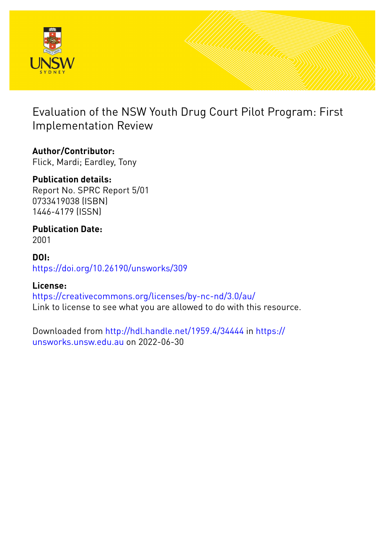

Evaluation of the NSW Youth Drug Court Pilot Program: First Implementation Review

# **Author/Contributor:**

Flick, Mardi; Eardley, Tony

# **Publication details:**

Report No. SPRC Report 5/01 0733419038 (ISBN) 1446-4179 (ISSN)

# **Publication Date:**

2001

## **DOI:** [https://doi.org/10.26190/unsworks/309](http://dx.doi.org/https://doi.org/10.26190/unsworks/309)

# **License:**

<https://creativecommons.org/licenses/by-nc-nd/3.0/au/> Link to license to see what you are allowed to do with this resource.

Downloaded from <http://hdl.handle.net/1959.4/34444> in [https://](https://unsworks.unsw.edu.au) [unsworks.unsw.edu.au](https://unsworks.unsw.edu.au) on 2022-06-30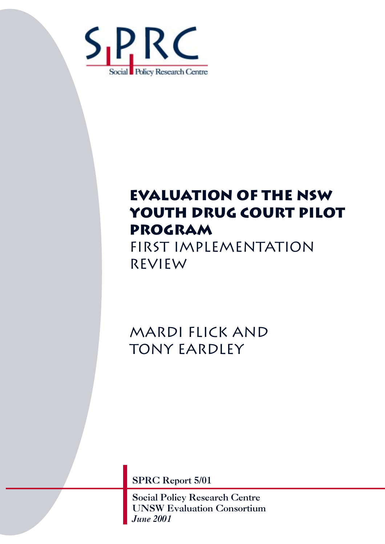

# **evaluation of the nsw youth drug court pilot program**

first implementation review

Mardi Flick and tony eardley

SPRC Report 5/01

Social Policy Research Centre UNSW Evaluation Consortium *June 2001*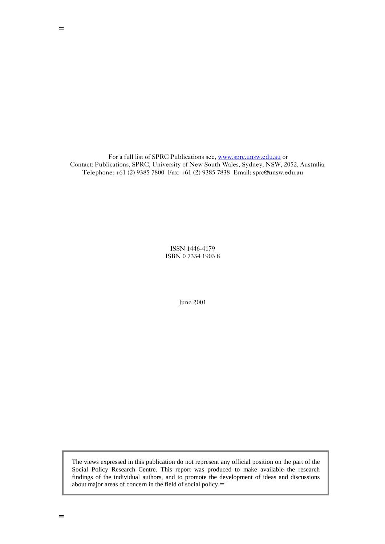For a full list of SPRC Publications see, www.sprc.unsw.edu.au or Contact: Publications, SPRC, University of New South Wales, Sydney, NSW, 2052, Australia. Telephone: +61 (2) 9385 7800 Fax: +61 (2) 9385 7838 Email: sprc@unsw.edu.au

> ISSN 1446-4179 ISBN 0 7334 1903 8

> > June 2001

The views expressed in this publication do not represent any official position on the part of the Social Policy Research Centre. This report was produced to make available the research findings of the individual authors, and to promote the development of ideas and discussions about major areas of concern in the field of social policy.=

=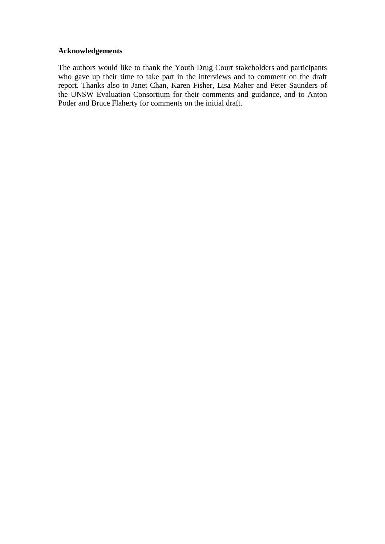#### **Acknowledgements**

The authors would like to thank the Youth Drug Court stakeholders and participants who gave up their time to take part in the interviews and to comment on the draft report. Thanks also to Janet Chan, Karen Fisher, Lisa Maher and Peter Saunders of the UNSW Evaluation Consortium for their comments and guidance, and to Anton Poder and Bruce Flaherty for comments on the initial draft.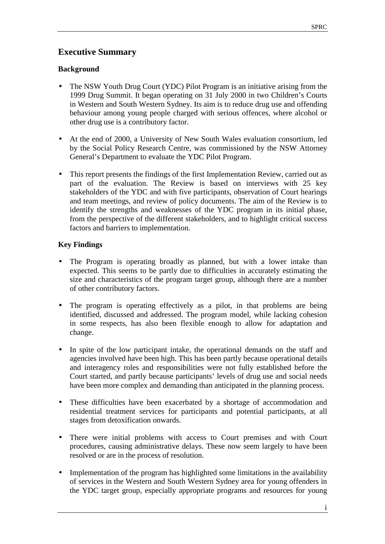## **Executive Summary**

#### **Background**

- The NSW Youth Drug Court (YDC) Pilot Program is an initiative arising from the 1999 Drug Summit. It began operating on 31 July 2000 in two Children's Courts in Western and South Western Sydney. Its aim is to reduce drug use and offending behaviour among young people charged with serious offences, where alcohol or other drug use is a contributory factor.
- At the end of 2000, a University of New South Wales evaluation consortium, led by the Social Policy Research Centre, was commissioned by the NSW Attorney General's Department to evaluate the YDC Pilot Program.
- This report presents the findings of the first Implementation Review, carried out as part of the evaluation. The Review is based on interviews with 25 key stakeholders of the YDC and with five participants, observation of Court hearings and team meetings, and review of policy documents. The aim of the Review is to identify the strengths and weaknesses of the YDC program in its initial phase, from the perspective of the different stakeholders, and to highlight critical success factors and barriers to implementation.

## **Key Findings**

- The Program is operating broadly as planned, but with a lower intake than expected. This seems to be partly due to difficulties in accurately estimating the size and characteristics of the program target group, although there are a number of other contributory factors.
- The program is operating effectively as a pilot, in that problems are being identified, discussed and addressed. The program model, while lacking cohesion in some respects, has also been flexible enough to allow for adaptation and change.
- In spite of the low participant intake, the operational demands on the staff and agencies involved have been high. This has been partly because operational details and interagency roles and responsibilities were not fully established before the Court started, and partly because participants' levels of drug use and social needs have been more complex and demanding than anticipated in the planning process.
- These difficulties have been exacerbated by a shortage of accommodation and residential treatment services for participants and potential participants, at all stages from detoxification onwards.
- There were initial problems with access to Court premises and with Court procedures, causing administrative delays. These now seem largely to have been resolved or are in the process of resolution.
- Implementation of the program has highlighted some limitations in the availability of services in the Western and South Western Sydney area for young offenders in the YDC target group, especially appropriate programs and resources for young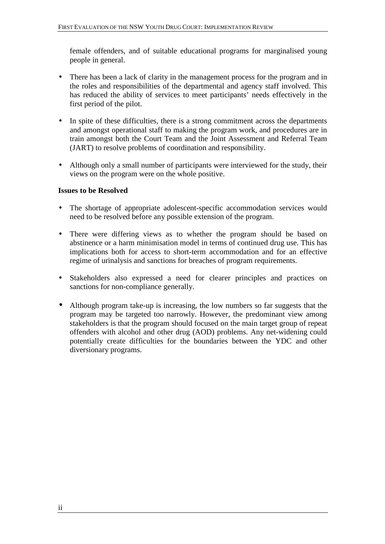female offenders, and of suitable educational programs for marginalised young people in general.

- There has been a lack of clarity in the management process for the program and in the roles and responsibilities of the departmental and agency staff involved. This has reduced the ability of services to meet participants' needs effectively in the first period of the pilot.
- In spite of these difficulties, there is a strong commitment across the departments and amongst operational staff to making the program work, and procedures are in train amongst both the Court Team and the Joint Assessment and Referral Team (JART) to resolve problems of coordination and responsibility.
- Although only a small number of participants were interviewed for the study, their views on the program were on the whole positive.

## **Issues to be Resolved**

- The shortage of appropriate adolescent-specific accommodation services would need to be resolved before any possible extension of the program.
- There were differing views as to whether the program should be based on abstinence or a harm minimisation model in terms of continued drug use. This has implications both for access to short-term accommodation and for an effective regime of urinalysis and sanctions for breaches of program requirements.
- Stakeholders also expressed a need for clearer principles and practices on sanctions for non-compliance generally.
- Although program take-up is increasing, the low numbers so far suggests that the program may be targeted too narrowly. However, the predominant view among stakeholders is that the program should focused on the main target group of repeat offenders with alcohol and other drug (AOD) problems. Any net-widening could potentially create difficulties for the boundaries between the YDC and other diversionary programs.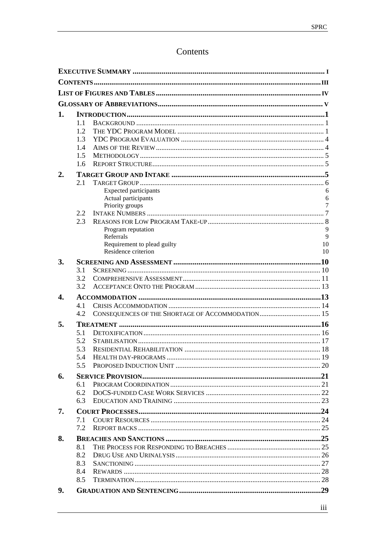# Contents

| 1.               |     |                                        |        |  |  |
|------------------|-----|----------------------------------------|--------|--|--|
|                  | 1.1 |                                        |        |  |  |
|                  | 1.2 |                                        |        |  |  |
|                  | 1.3 |                                        |        |  |  |
|                  | 1.4 |                                        |        |  |  |
|                  | 1.5 |                                        |        |  |  |
|                  | 1.6 |                                        |        |  |  |
| $\overline{2}$ . |     |                                        |        |  |  |
|                  | 2.1 |                                        |        |  |  |
|                  |     | <b>Expected participants</b>           | 6      |  |  |
|                  |     | Actual participants<br>Priority groups | 6<br>7 |  |  |
|                  | 2.2 |                                        |        |  |  |
|                  | 2.3 |                                        |        |  |  |
|                  |     | Program reputation                     | 9      |  |  |
|                  |     | Referrals                              | 9      |  |  |
|                  |     | Requirement to plead guilty            | 10     |  |  |
|                  |     | Residence criterion                    | 10     |  |  |
| 3.               |     |                                        |        |  |  |
|                  | 3.1 |                                        |        |  |  |
|                  | 3.2 |                                        |        |  |  |
|                  | 3.2 |                                        |        |  |  |
| 4.               |     |                                        |        |  |  |
|                  | 4.1 |                                        |        |  |  |
|                  | 4.2 |                                        |        |  |  |
| 5.               |     |                                        |        |  |  |
|                  | 5.1 |                                        |        |  |  |
|                  | 5.2 |                                        |        |  |  |
|                  | 5.3 |                                        |        |  |  |
|                  | 5.4 |                                        |        |  |  |
|                  | 5.5 |                                        |        |  |  |
| 6.               |     |                                        |        |  |  |
|                  | 6.1 |                                        |        |  |  |
|                  | 6.2 |                                        |        |  |  |
|                  | 6.3 |                                        |        |  |  |
| 7.               |     |                                        |        |  |  |
|                  | 7.1 |                                        |        |  |  |
|                  | 7.2 |                                        |        |  |  |
| 8.               |     |                                        |        |  |  |
|                  | 8.1 |                                        |        |  |  |
|                  | 8.2 |                                        |        |  |  |
|                  | 8.3 |                                        |        |  |  |
|                  | 8.4 |                                        |        |  |  |
|                  | 8.5 |                                        |        |  |  |
| 9.               |     |                                        |        |  |  |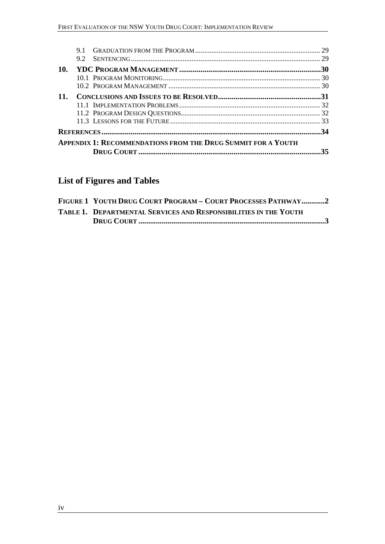|                                                                     | 9.2 |                                                |  |  |
|---------------------------------------------------------------------|-----|------------------------------------------------|--|--|
| 10.                                                                 |     |                                                |  |  |
|                                                                     |     |                                                |  |  |
|                                                                     |     |                                                |  |  |
| $11_{-}$                                                            |     |                                                |  |  |
|                                                                     |     |                                                |  |  |
|                                                                     |     |                                                |  |  |
|                                                                     |     |                                                |  |  |
|                                                                     |     |                                                |  |  |
| <b>APPENDIX 1: RECOMMENDATIONS FROM THE DRUG SUMMIT FOR A YOUTH</b> |     |                                                |  |  |
|                                                                     |     | DRUG COURT …………………………………………………………………………………………… |  |  |
|                                                                     |     |                                                |  |  |

# **List of Figures and Tables**

| FIGURE 1 YOUTH DRUG COURT PROGRAM – COURT PROCESSES PATHWAY2     |
|------------------------------------------------------------------|
| TABLE 1. DEPARTMENTAL SERVICES AND RESPONSIBILITIES IN THE YOUTH |
|                                                                  |

<u> 1989 - Johann Barn, mars ann an t-A</u>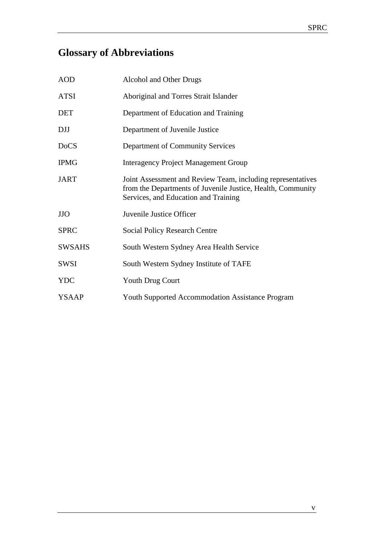# **Glossary of Abbreviations**

| <b>AOD</b>    | Alcohol and Other Drugs                                                                                                                                            |
|---------------|--------------------------------------------------------------------------------------------------------------------------------------------------------------------|
| <b>ATSI</b>   | Aboriginal and Torres Strait Islander                                                                                                                              |
| <b>DET</b>    | Department of Education and Training                                                                                                                               |
| <b>DJJ</b>    | Department of Juvenile Justice                                                                                                                                     |
| <b>DoCS</b>   | Department of Community Services                                                                                                                                   |
| <b>IPMG</b>   | <b>Interagency Project Management Group</b>                                                                                                                        |
| <b>JART</b>   | Joint Assessment and Review Team, including representatives<br>from the Departments of Juvenile Justice, Health, Community<br>Services, and Education and Training |
| <b>JJO</b>    | Juvenile Justice Officer                                                                                                                                           |
| <b>SPRC</b>   | <b>Social Policy Research Centre</b>                                                                                                                               |
| <b>SWSAHS</b> | South Western Sydney Area Health Service                                                                                                                           |
| <b>SWSI</b>   | South Western Sydney Institute of TAFE                                                                                                                             |
| <b>YDC</b>    | <b>Youth Drug Court</b>                                                                                                                                            |
| <b>YSAAP</b>  | <b>Youth Supported Accommodation Assistance Program</b>                                                                                                            |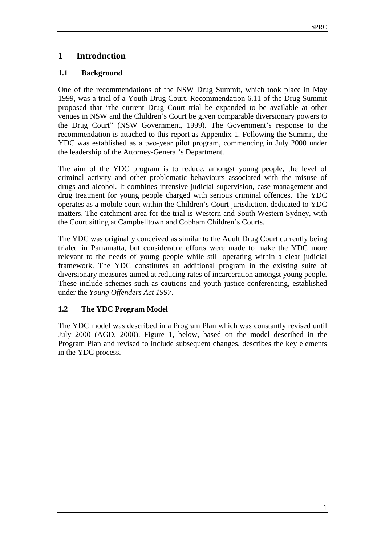## **1 Introduction**

#### **1.1 Background**

One of the recommendations of the NSW Drug Summit, which took place in May 1999, was a trial of a Youth Drug Court. Recommendation 6.11 of the Drug Summit proposed that "the current Drug Court trial be expanded to be available at other venues in NSW and the Children's Court be given comparable diversionary powers to the Drug Court" (NSW Government, 1999). The Government's response to the recommendation is attached to this report as Appendix 1. Following the Summit, the YDC was established as a two-year pilot program, commencing in July 2000 under the leadership of the Attorney-General's Department.

The aim of the YDC program is to reduce, amongst young people, the level of criminal activity and other problematic behaviours associated with the misuse of drugs and alcohol. It combines intensive judicial supervision, case management and drug treatment for young people charged with serious criminal offences. The YDC operates as a mobile court within the Children's Court jurisdiction, dedicated to YDC matters. The catchment area for the trial is Western and South Western Sydney, with the Court sitting at Campbelltown and Cobham Children's Courts.

The YDC was originally conceived as similar to the Adult Drug Court currently being trialed in Parramatta, but considerable efforts were made to make the YDC more relevant to the needs of young people while still operating within a clear judicial framework. The YDC constitutes an additional program in the existing suite of diversionary measures aimed at reducing rates of incarceration amongst young people. These include schemes such as cautions and youth justice conferencing, established under the *Young Offenders Act 1997*.

## **1.2 The YDC Program Model**

The YDC model was described in a Program Plan which was constantly revised until July 2000 (AGD, 2000). Figure 1, below, based on the model described in the Program Plan and revised to include subsequent changes, describes the key elements in the YDC process.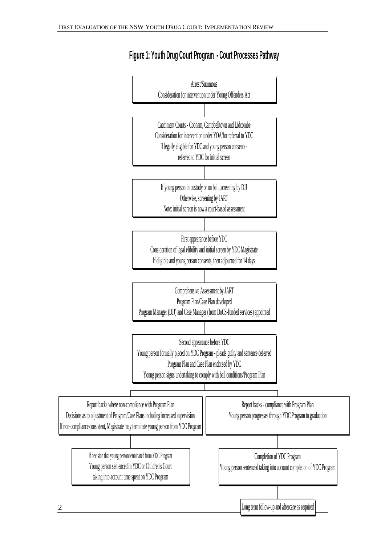

# **Figure 1: Youth Drug Court Program - Court Processes Pathway**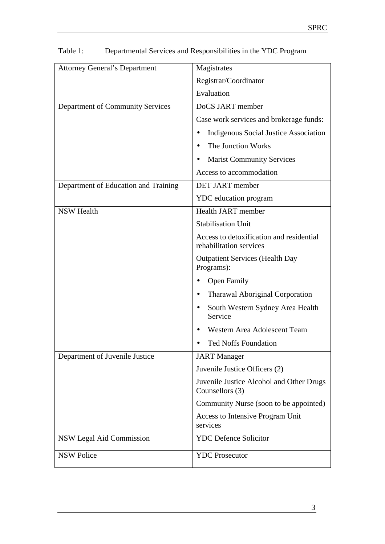| <b>Attorney General's Department</b> | Magistrates                                                         |  |
|--------------------------------------|---------------------------------------------------------------------|--|
|                                      | Registrar/Coordinator                                               |  |
|                                      | Evaluation                                                          |  |
| Department of Community Services     | DoCS JART member                                                    |  |
|                                      | Case work services and brokerage funds:                             |  |
|                                      | <b>Indigenous Social Justice Association</b>                        |  |
|                                      | The Junction Works                                                  |  |
|                                      | <b>Marist Community Services</b>                                    |  |
|                                      | Access to accommodation                                             |  |
| Department of Education and Training | <b>DET JART</b> member                                              |  |
|                                      | <b>YDC</b> education program                                        |  |
| <b>NSW Health</b>                    | <b>Health JART</b> member                                           |  |
|                                      | <b>Stabilisation Unit</b>                                           |  |
|                                      | Access to detoxification and residential<br>rehabilitation services |  |
|                                      | <b>Outpatient Services (Health Day</b><br>Programs):                |  |
|                                      | <b>Open Family</b>                                                  |  |
|                                      | <b>Tharawal Aboriginal Corporation</b>                              |  |
|                                      | South Western Sydney Area Health<br>$\bullet$<br>Service            |  |
|                                      | Western Area Adolescent Team                                        |  |
|                                      | <b>Ted Noffs Foundation</b>                                         |  |
| Department of Juvenile Justice       | <b>JART</b> Manager                                                 |  |
|                                      | Juvenile Justice Officers (2)                                       |  |
|                                      | Juvenile Justice Alcohol and Other Drugs<br>Counsellors (3)         |  |
|                                      | Community Nurse (soon to be appointed)                              |  |
|                                      | Access to Intensive Program Unit<br>services                        |  |
| NSW Legal Aid Commission             | <b>YDC Defence Solicitor</b>                                        |  |
| <b>NSW Police</b>                    | <b>YDC</b> Prosecutor                                               |  |

# Table 1: Departmental Services and Responsibilities in the YDC Program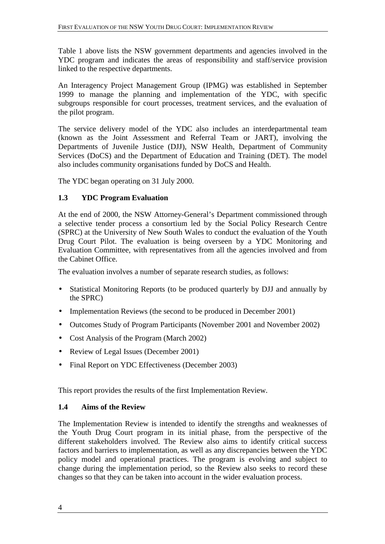Table 1 above lists the NSW government departments and agencies involved in the YDC program and indicates the areas of responsibility and staff/service provision linked to the respective departments.

An Interagency Project Management Group (IPMG) was established in September 1999 to manage the planning and implementation of the YDC, with specific subgroups responsible for court processes, treatment services, and the evaluation of the pilot program.

The service delivery model of the YDC also includes an interdepartmental team (known as the Joint Assessment and Referral Team or JART), involving the Departments of Juvenile Justice (DJJ), NSW Health, Department of Community Services (DoCS) and the Department of Education and Training (DET). The model also includes community organisations funded by DoCS and Health.

The YDC began operating on 31 July 2000.

## **1.3 YDC Program Evaluation**

At the end of 2000, the NSW Attorney-General's Department commissioned through a selective tender process a consortium led by the Social Policy Research Centre (SPRC) at the University of New South Wales to conduct the evaluation of the Youth Drug Court Pilot. The evaluation is being overseen by a YDC Monitoring and Evaluation Committee, with representatives from all the agencies involved and from the Cabinet Office.

The evaluation involves a number of separate research studies, as follows:

- Statistical Monitoring Reports (to be produced quarterly by DJJ and annually by the SPRC)
- Implementation Reviews (the second to be produced in December 2001)
- Outcomes Study of Program Participants (November 2001 and November 2002)
- Cost Analysis of the Program (March 2002)
- Review of Legal Issues (December 2001)
- Final Report on YDC Effectiveness (December 2003)

This report provides the results of the first Implementation Review.

## **1.4 Aims of the Review**

The Implementation Review is intended to identify the strengths and weaknesses of the Youth Drug Court program in its initial phase, from the perspective of the different stakeholders involved. The Review also aims to identify critical success factors and barriers to implementation, as well as any discrepancies between the YDC policy model and operational practices. The program is evolving and subject to change during the implementation period, so the Review also seeks to record these changes so that they can be taken into account in the wider evaluation process.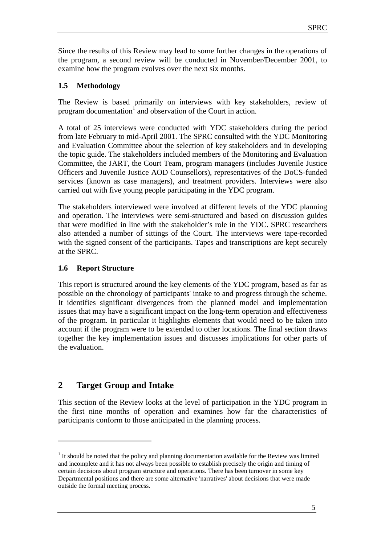Since the results of this Review may lead to some further changes in the operations of the program, a second review will be conducted in November/December 2001, to examine how the program evolves over the next six months.

## **1.5 Methodology**

The Review is based primarily on interviews with key stakeholders, review of program documentation<sup>1</sup> and observation of the Court in action.

A total of 25 interviews were conducted with YDC stakeholders during the period from late February to mid-April 2001. The SPRC consulted with the YDC Monitoring and Evaluation Committee about the selection of key stakeholders and in developing the topic guide. The stakeholders included members of the Monitoring and Evaluation Committee, the JART, the Court Team, program managers (includes Juvenile Justice Officers and Juvenile Justice AOD Counsellors), representatives of the DoCS-funded services (known as case managers), and treatment providers. Interviews were also carried out with five young people participating in the YDC program.

The stakeholders interviewed were involved at different levels of the YDC planning and operation. The interviews were semi-structured and based on discussion guides that were modified in line with the stakeholder's role in the YDC. SPRC researchers also attended a number of sittings of the Court. The interviews were tape-recorded with the signed consent of the participants. Tapes and transcriptions are kept securely at the SPRC.

## **1.6 Report Structure**

This report is structured around the key elements of the YDC program, based as far as possible on the chronology of participants' intake to and progress through the scheme. It identifies significant divergences from the planned model and implementation issues that may have a significant impact on the long-term operation and effectiveness of the program. In particular it highlights elements that would need to be taken into account if the program were to be extended to other locations. The final section draws together the key implementation issues and discusses implications for other parts of the evaluation.

## **2 Target Group and Intake**

 $\overline{a}$ 

This section of the Review looks at the level of participation in the YDC program in the first nine months of operation and examines how far the characteristics of participants conform to those anticipated in the planning process.

 $<sup>1</sup>$  It should be noted that the policy and planning documentation available for the Review was limited</sup> and incomplete and it has not always been possible to establish precisely the origin and timing of certain decisions about program structure and operations. There has been turnover in some key Departmental positions and there are some alternative 'narratives' about decisions that were made outside the formal meeting process.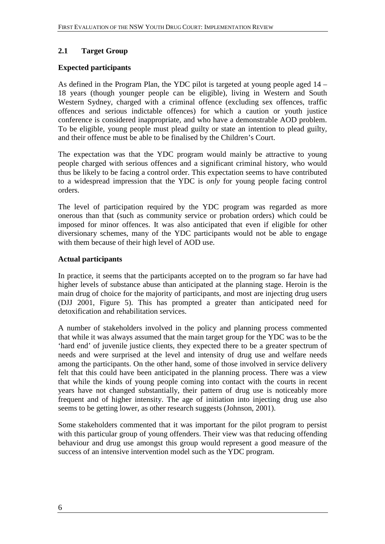## **2.1 Target Group**

#### **Expected participants**

As defined in the Program Plan, the YDC pilot is targeted at young people aged 14 – 18 years (though younger people can be eligible), living in Western and South Western Sydney, charged with a criminal offence (excluding sex offences, traffic offences and serious indictable offences) for which a caution or youth justice conference is considered inappropriate, and who have a demonstrable AOD problem. To be eligible, young people must plead guilty or state an intention to plead guilty, and their offence must be able to be finalised by the Children's Court.

The expectation was that the YDC program would mainly be attractive to young people charged with serious offences and a significant criminal history, who would thus be likely to be facing a control order. This expectation seems to have contributed to a widespread impression that the YDC is *only* for young people facing control orders.

The level of participation required by the YDC program was regarded as more onerous than that (such as community service or probation orders) which could be imposed for minor offences. It was also anticipated that even if eligible for other diversionary schemes, many of the YDC participants would not be able to engage with them because of their high level of AOD use.

#### **Actual participants**

In practice, it seems that the participants accepted on to the program so far have had higher levels of substance abuse than anticipated at the planning stage. Heroin is the main drug of choice for the majority of participants, and most are injecting drug users (DJJ 2001, Figure 5). This has prompted a greater than anticipated need for detoxification and rehabilitation services.

A number of stakeholders involved in the policy and planning process commented that while it was always assumed that the main target group for the YDC was to be the 'hard end' of juvenile justice clients, they expected there to be a greater spectrum of needs and were surprised at the level and intensity of drug use and welfare needs among the participants. On the other hand, some of those involved in service delivery felt that this could have been anticipated in the planning process. There was a view that while the kinds of young people coming into contact with the courts in recent years have not changed substantially, their pattern of drug use is noticeably more frequent and of higher intensity. The age of initiation into injecting drug use also seems to be getting lower, as other research suggests (Johnson, 2001).

Some stakeholders commented that it was important for the pilot program to persist with this particular group of young offenders. Their view was that reducing offending behaviour and drug use amongst this group would represent a good measure of the success of an intensive intervention model such as the YDC program.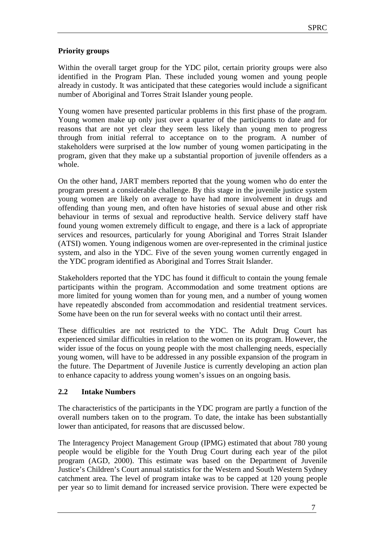## **Priority groups**

Within the overall target group for the YDC pilot, certain priority groups were also identified in the Program Plan. These included young women and young people already in custody. It was anticipated that these categories would include a significant number of Aboriginal and Torres Strait Islander young people.

Young women have presented particular problems in this first phase of the program. Young women make up only just over a quarter of the participants to date and for reasons that are not yet clear they seem less likely than young men to progress through from initial referral to acceptance on to the program. A number of stakeholders were surprised at the low number of young women participating in the program, given that they make up a substantial proportion of juvenile offenders as a whole.

On the other hand, JART members reported that the young women who do enter the program present a considerable challenge. By this stage in the juvenile justice system young women are likely on average to have had more involvement in drugs and offending than young men, and often have histories of sexual abuse and other risk behaviour in terms of sexual and reproductive health. Service delivery staff have found young women extremely difficult to engage, and there is a lack of appropriate services and resources, particularly for young Aboriginal and Torres Strait Islander (ATSI) women. Young indigenous women are over-represented in the criminal justice system, and also in the YDC. Five of the seven young women currently engaged in the YDC program identified as Aboriginal and Torres Strait Islander.

Stakeholders reported that the YDC has found it difficult to contain the young female participants within the program. Accommodation and some treatment options are more limited for young women than for young men, and a number of young women have repeatedly absconded from accommodation and residential treatment services. Some have been on the run for several weeks with no contact until their arrest.

These difficulties are not restricted to the YDC. The Adult Drug Court has experienced similar difficulties in relation to the women on its program. However, the wider issue of the focus on young people with the most challenging needs, especially young women, will have to be addressed in any possible expansion of the program in the future. The Department of Juvenile Justice is currently developing an action plan to enhance capacity to address young women's issues on an ongoing basis.

## **2.2 Intake Numbers**

The characteristics of the participants in the YDC program are partly a function of the overall numbers taken on to the program. To date, the intake has been substantially lower than anticipated, for reasons that are discussed below.

The Interagency Project Management Group (IPMG) estimated that about 780 young people would be eligible for the Youth Drug Court during each year of the pilot program (AGD, 2000). This estimate was based on the Department of Juvenile Justice's Children's Court annual statistics for the Western and South Western Sydney catchment area. The level of program intake was to be capped at 120 young people per year so to limit demand for increased service provision. There were expected be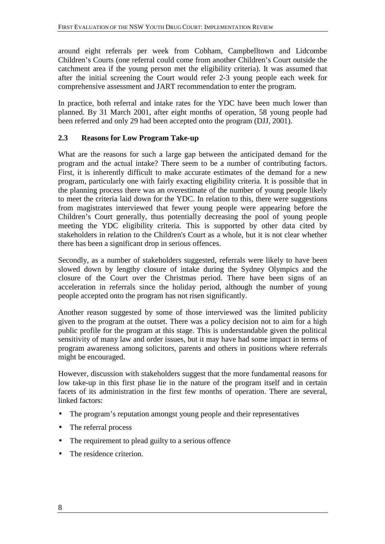around eight referrals per week from Cobham, Campbelltown and Lidcombe Children's Courts (one referral could come from another Children's Court outside the catchment area if the young person met the eligibility criteria). It was assumed that after the initial screening the Court would refer 2-3 young people each week for comprehensive assessment and JART recommendation to enter the program.

In practice, both referral and intake rates for the YDC have been much lower than planned. By 31 March 2001, after eight months of operation, 58 young people had been referred and only 29 had been accepted onto the program (DJJ, 2001).

## **2.3 Reasons for Low Program Take-up**

What are the reasons for such a large gap between the anticipated demand for the program and the actual intake? There seem to be a number of contributing factors. First, it is inherently difficult to make accurate estimates of the demand for a new program, particularly one with fairly exacting eligibility criteria. It is possible that in the planning process there was an overestimate of the number of young people likely to meet the criteria laid down for the YDC. In relation to this, there were suggestions from magistrates interviewed that fewer young people were appearing before the Children's Court generally, thus potentially decreasing the pool of young people meeting the YDC eligibility criteria. This is supported by other data cited by stakeholders in relation to the Children's Court as a whole, but it is not clear whether there has been a significant drop in serious offences.

Secondly, as a number of stakeholders suggested, referrals were likely to have been slowed down by lengthy closure of intake during the Sydney Olympics and the closure of the Court over the Christmas period. There have been signs of an acceleration in referrals since the holiday period, although the number of young people accepted onto the program has not risen significantly.

Another reason suggested by some of those interviewed was the limited publicity given to the program at the outset. There was a policy decision not to aim for a high public profile for the program at this stage. This is understandable given the political sensitivity of many law and order issues, but it may have had some impact in terms of program awareness among solicitors, parents and others in positions where referrals might be encouraged.

However, discussion with stakeholders suggest that the more fundamental reasons for low take-up in this first phase lie in the nature of the program itself and in certain facets of its administration in the first few months of operation. There are several, linked factors:

- The program's reputation amongst young people and their representatives
- The referral process
- The requirement to plead guilty to a serious offence
- The residence criterion.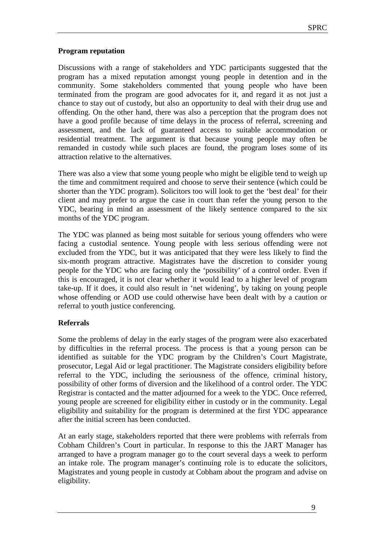## **Program reputation**

Discussions with a range of stakeholders and YDC participants suggested that the program has a mixed reputation amongst young people in detention and in the community. Some stakeholders commented that young people who have been terminated from the program are good advocates for it, and regard it as not just a chance to stay out of custody, but also an opportunity to deal with their drug use and offending. On the other hand, there was also a perception that the program does not have a good profile because of time delays in the process of referral, screening and assessment, and the lack of guaranteed access to suitable accommodation or residential treatment. The argument is that because young people may often be remanded in custody while such places are found, the program loses some of its attraction relative to the alternatives.

There was also a view that some young people who might be eligible tend to weigh up the time and commitment required and choose to serve their sentence (which could be shorter than the YDC program). Solicitors too will look to get the 'best deal' for their client and may prefer to argue the case in court than refer the young person to the YDC, bearing in mind an assessment of the likely sentence compared to the six months of the YDC program.

The YDC was planned as being most suitable for serious young offenders who were facing a custodial sentence. Young people with less serious offending were not excluded from the YDC, but it was anticipated that they were less likely to find the six-month program attractive. Magistrates have the discretion to consider young people for the YDC who are facing only the 'possibility' of a control order. Even if this is encouraged, it is not clear whether it would lead to a higher level of program take-up. If it does, it could also result in 'net widening', by taking on young people whose offending or AOD use could otherwise have been dealt with by a caution or referral to youth justice conferencing.

## **Referrals**

Some the problems of delay in the early stages of the program were also exacerbated by difficulties in the referral process. The process is that a young person can be identified as suitable for the YDC program by the Children's Court Magistrate, prosecutor, Legal Aid or legal practitioner. The Magistrate considers eligibility before referral to the YDC, including the seriousness of the offence, criminal history, possibility of other forms of diversion and the likelihood of a control order. The YDC Registrar is contacted and the matter adjourned for a week to the YDC. Once referred, young people are screened for eligibility either in custody or in the community. Legal eligibility and suitability for the program is determined at the first YDC appearance after the initial screen has been conducted.

At an early stage, stakeholders reported that there were problems with referrals from Cobham Children's Court in particular. In response to this the JART Manager has arranged to have a program manager go to the court several days a week to perform an intake role. The program manager's continuing role is to educate the solicitors, Magistrates and young people in custody at Cobham about the program and advise on eligibility.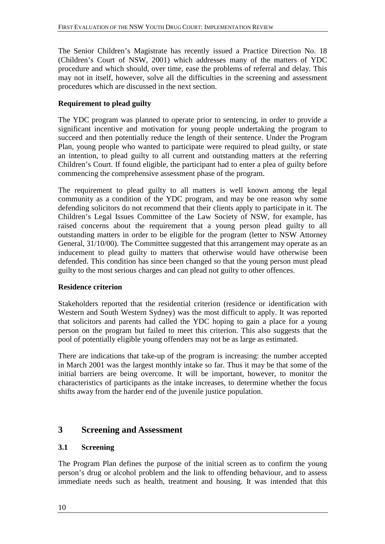The Senior Children's Magistrate has recently issued a Practice Direction No. 18 (Children's Court of NSW, 2001) which addresses many of the matters of YDC procedure and which should, over time, ease the problems of referral and delay. This may not in itself, however, solve all the difficulties in the screening and assessment procedures which are discussed in the next section.

## **Requirement to plead guilty**

The YDC program was planned to operate prior to sentencing, in order to provide a significant incentive and motivation for young people undertaking the program to succeed and then potentially reduce the length of their sentence. Under the Program Plan, young people who wanted to participate were required to plead guilty, or state an intention, to plead guilty to all current and outstanding matters at the referring Children's Court. If found eligible, the participant had to enter a plea of guilty before commencing the comprehensive assessment phase of the program.

The requirement to plead guilty to all matters is well known among the legal community as a condition of the YDC program, and may be one reason why some defending solicitors do not recommend that their clients apply to participate in it. The Children's Legal Issues Committee of the Law Society of NSW, for example, has raised concerns about the requirement that a young person plead guilty to all outstanding matters in order to be eligible for the program (letter to NSW Attorney General, 31/10/00). The Committee suggested that this arrangement may operate as an inducement to plead guilty to matters that otherwise would have otherwise been defended. This condition has since been changed so that the young person must plead guilty to the most serious charges and can plead not guilty to other offences.

## **Residence criterion**

Stakeholders reported that the residential criterion (residence or identification with Western and South Western Sydney) was the most difficult to apply. It was reported that solicitors and parents had called the YDC hoping to gain a place for a young person on the program but failed to meet this criterion. This also suggests that the pool of potentially eligible young offenders may not be as large as estimated.

There are indications that take-up of the program is increasing: the number accepted in March 2001 was the largest monthly intake so far. Thus it may be that some of the initial barriers are being overcome. It will be important, however, to monitor the characteristics of participants as the intake increases, to determine whether the focus shifts away from the harder end of the juvenile justice population.

## **3 Screening and Assessment**

## **3.1 Screening**

The Program Plan defines the purpose of the initial screen as to confirm the young person's drug or alcohol problem and the link to offending behaviour, and to assess immediate needs such as health, treatment and housing. It was intended that this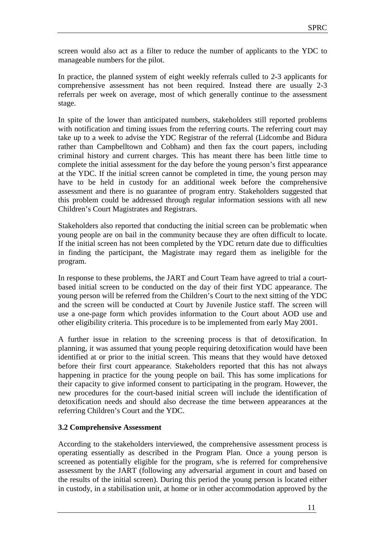screen would also act as a filter to reduce the number of applicants to the YDC to manageable numbers for the pilot.

In practice, the planned system of eight weekly referrals culled to 2-3 applicants for comprehensive assessment has not been required. Instead there are usually 2-3 referrals per week on average, most of which generally continue to the assessment stage.

In spite of the lower than anticipated numbers, stakeholders still reported problems with notification and timing issues from the referring courts. The referring court may take up to a week to advise the YDC Registrar of the referral (Lidcombe and Bidura rather than Campbelltown and Cobham) and then fax the court papers, including criminal history and current charges. This has meant there has been little time to complete the initial assessment for the day before the young person's first appearance at the YDC. If the initial screen cannot be completed in time, the young person may have to be held in custody for an additional week before the comprehensive assessment and there is no guarantee of program entry. Stakeholders suggested that this problem could be addressed through regular information sessions with all new Children's Court Magistrates and Registrars.

Stakeholders also reported that conducting the initial screen can be problematic when young people are on bail in the community because they are often difficult to locate. If the initial screen has not been completed by the YDC return date due to difficulties in finding the participant, the Magistrate may regard them as ineligible for the program.

In response to these problems, the JART and Court Team have agreed to trial a courtbased initial screen to be conducted on the day of their first YDC appearance. The young person will be referred from the Children's Court to the next sitting of the YDC and the screen will be conducted at Court by Juvenile Justice staff. The screen will use a one-page form which provides information to the Court about AOD use and other eligibility criteria. This procedure is to be implemented from early May 2001.

A further issue in relation to the screening process is that of detoxification. In planning, it was assumed that young people requiring detoxification would have been identified at or prior to the initial screen. This means that they would have detoxed before their first court appearance. Stakeholders reported that this has not always happening in practice for the young people on bail. This has some implications for their capacity to give informed consent to participating in the program. However, the new procedures for the court-based initial screen will include the identification of detoxification needs and should also decrease the time between appearances at the referring Children's Court and the YDC.

## **3.2 Comprehensive Assessment**

According to the stakeholders interviewed, the comprehensive assessment process is operating essentially as described in the Program Plan. Once a young person is screened as potentially eligible for the program, s/he is referred for comprehensive assessment by the JART (following any adversarial argument in court and based on the results of the initial screen). During this period the young person is located either in custody, in a stabilisation unit, at home or in other accommodation approved by the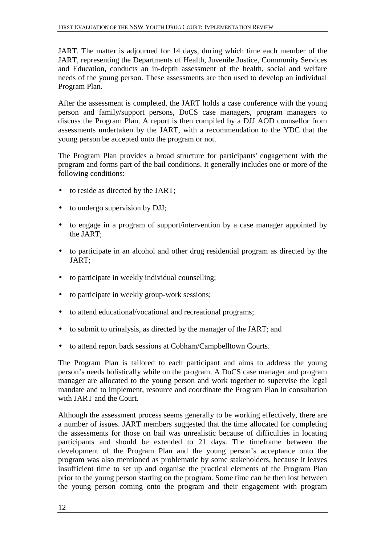JART. The matter is adjourned for 14 days, during which time each member of the JART, representing the Departments of Health, Juvenile Justice, Community Services and Education, conducts an in-depth assessment of the health, social and welfare needs of the young person. These assessments are then used to develop an individual Program Plan.

After the assessment is completed, the JART holds a case conference with the young person and family/support persons, DoCS case managers, program managers to discuss the Program Plan. A report is then compiled by a DJJ AOD counsellor from assessments undertaken by the JART, with a recommendation to the YDC that the young person be accepted onto the program or not.

The Program Plan provides a broad structure for participants' engagement with the program and forms part of the bail conditions. It generally includes one or more of the following conditions:

- to reside as directed by the JART;
- to undergo supervision by DJJ;
- to engage in a program of support/intervention by a case manager appointed by the JART;
- to participate in an alcohol and other drug residential program as directed by the JART;
- to participate in weekly individual counselling;
- to participate in weekly group-work sessions;
- to attend educational/vocational and recreational programs;
- to submit to urinalysis, as directed by the manager of the JART; and
- to attend report back sessions at Cobham/Campbelltown Courts.

The Program Plan is tailored to each participant and aims to address the young person's needs holistically while on the program. A DoCS case manager and program manager are allocated to the young person and work together to supervise the legal mandate and to implement, resource and coordinate the Program Plan in consultation with JART and the Court.

Although the assessment process seems generally to be working effectively, there are a number of issues. JART members suggested that the time allocated for completing the assessments for those on bail was unrealistic because of difficulties in locating participants and should be extended to 21 days. The timeframe between the development of the Program Plan and the young person's acceptance onto the program was also mentioned as problematic by some stakeholders, because it leaves insufficient time to set up and organise the practical elements of the Program Plan prior to the young person starting on the program. Some time can be then lost between the young person coming onto the program and their engagement with program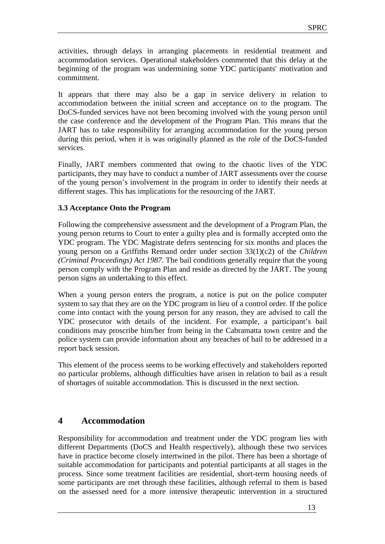activities, through delays in arranging placements in residential treatment and accommodation services. Operational stakeholders commented that this delay at the beginning of the program was undermining some YDC participants' motivation and commitment.

It appears that there may also be a gap in service delivery in relation to accommodation between the initial screen and acceptance on to the program. The DoCS-funded services have not been becoming involved with the young person until the case conference and the development of the Program Plan. This means that the JART has to take responsibility for arranging accommodation for the young person during this period, when it is was originally planned as the role of the DoCS-funded services.

Finally, JART members commented that owing to the chaotic lives of the YDC participants, they may have to conduct a number of JART assessments over the course of the young person's involvement in the program in order to identify their needs at different stages. This has implications for the resourcing of the JART.

## **3.3 Acceptance Onto the Program**

Following the comprehensive assessment and the development of a Program Plan, the young person returns to Court to enter a guilty plea and is formally accepted onto the YDC program. The YDC Magistrate defers sentencing for six months and places the young person on a Griffiths Remand order under section 33(1)(c2) of the *Children (Criminal Proceedings) Act 1987*. The bail conditions generally require that the young person comply with the Program Plan and reside as directed by the JART. The young person signs an undertaking to this effect.

When a young person enters the program, a notice is put on the police computer system to say that they are on the YDC program in lieu of a control order. If the police come into contact with the young person for any reason, they are advised to call the YDC prosecutor with details of the incident. For example, a participant's bail conditions may proscribe him/her from being in the Cabramatta town centre and the police system can provide information about any breaches of bail to be addressed in a report back session.

This element of the process seems to be working effectively and stakeholders reported no particular problems, although difficulties have arisen in relation to bail as a result of shortages of suitable accommodation. This is discussed in the next section.

## **4 Accommodation**

Responsibility for accommodation and treatment under the YDC program lies with different Departments (DoCS and Health respectively), although these two services have in practice become closely intertwined in the pilot. There has been a shortage of suitable accommodation for participants and potential participants at all stages in the process. Since some treatment facilities are residential, short-term housing needs of some participants are met through these facilities, although referral to them is based on the assessed need for a more intensive therapeutic intervention in a structured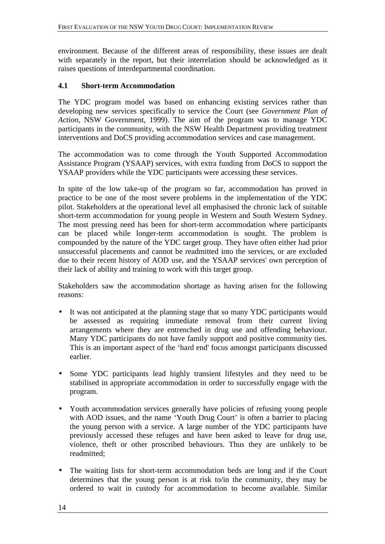environment. Because of the different areas of responsibility, these issues are dealt with separately in the report, but their interrelation should be acknowledged as it raises questions of interdepartmental coordination.

## **4.1 Short-term Accommodation**

The YDC program model was based on enhancing existing services rather than developing new services specifically to service the Court (see *Government Plan of Action*, NSW Government, 1999). The aim of the program was to manage YDC participants in the community, with the NSW Health Department providing treatment interventions and DoCS providing accommodation services and case management.

The accommodation was to come through the Youth Supported Accommodation Assistance Program (YSAAP) services, with extra funding from DoCS to support the YSAAP providers while the YDC participants were accessing these services.

In spite of the low take-up of the program so far, accommodation has proved in practice to be one of the most severe problems in the implementation of the YDC pilot. Stakeholders at the operational level all emphasised the chronic lack of suitable short-term accommodation for young people in Western and South Western Sydney. The most pressing need has been for short-term accommodation where participants can be placed while longer-term accommodation is sought. The problem is compounded by the nature of the YDC target group. They have often either had prior unsuccessful placements and cannot be readmitted into the services, or are excluded due to their recent history of AOD use, and the YSAAP services' own perception of their lack of ability and training to work with this target group.

Stakeholders saw the accommodation shortage as having arisen for the following reasons:

- It was not anticipated at the planning stage that so many YDC participants would be assessed as requiring immediate removal from their current living arrangements where they are entrenched in drug use and offending behaviour. Many YDC participants do not have family support and positive community ties. This is an important aspect of the 'hard end' focus amongst participants discussed earlier.
- Some YDC participants lead highly transient lifestyles and they need to be stabilised in appropriate accommodation in order to successfully engage with the program.
- Youth accommodation services generally have policies of refusing young people with AOD issues, and the name 'Youth Drug Court' is often a barrier to placing the young person with a service. A large number of the YDC participants have previously accessed these refuges and have been asked to leave for drug use, violence, theft or other proscribed behaviours. Thus they are unlikely to be readmitted;
- The waiting lists for short-term accommodation beds are long and if the Court determines that the young person is at risk to/in the community, they may be ordered to wait in custody for accommodation to become available. Similar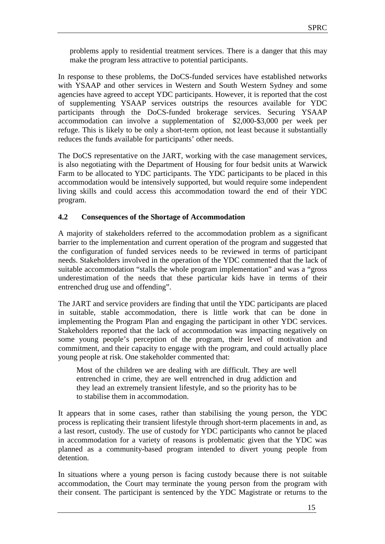problems apply to residential treatment services. There is a danger that this may make the program less attractive to potential participants.

In response to these problems, the DoCS-funded services have established networks with YSAAP and other services in Western and South Western Sydney and some agencies have agreed to accept YDC participants. However, it is reported that the cost of supplementing YSAAP services outstrips the resources available for YDC participants through the DoCS-funded brokerage services. Securing YSAAP accommodation can involve a supplementation of \$2,000-\$3,000 per week per refuge. This is likely to be only a short-term option, not least because it substantially reduces the funds available for participants' other needs.

The DoCS representative on the JART, working with the case management services, is also negotiating with the Department of Housing for four bedsit units at Warwick Farm to be allocated to YDC participants. The YDC participants to be placed in this accommodation would be intensively supported, but would require some independent living skills and could access this accommodation toward the end of their YDC program.

## **4.2 Consequences of the Shortage of Accommodation**

A majority of stakeholders referred to the accommodation problem as a significant barrier to the implementation and current operation of the program and suggested that the configuration of funded services needs to be reviewed in terms of participant needs. Stakeholders involved in the operation of the YDC commented that the lack of suitable accommodation "stalls the whole program implementation" and was a "gross underestimation of the needs that these particular kids have in terms of their entrenched drug use and offending".

The JART and service providers are finding that until the YDC participants are placed in suitable, stable accommodation, there is little work that can be done in implementing the Program Plan and engaging the participant in other YDC services. Stakeholders reported that the lack of accommodation was impacting negatively on some young people's perception of the program, their level of motivation and commitment, and their capacity to engage with the program, and could actually place young people at risk. One stakeholder commented that:

Most of the children we are dealing with are difficult. They are well entrenched in crime, they are well entrenched in drug addiction and they lead an extremely transient lifestyle, and so the priority has to be to stabilise them in accommodation.

It appears that in some cases, rather than stabilising the young person, the YDC process is replicating their transient lifestyle through short-term placements in and, as a last resort, custody. The use of custody for YDC participants who cannot be placed in accommodation for a variety of reasons is problematic given that the YDC was planned as a community-based program intended to divert young people from detention.

In situations where a young person is facing custody because there is not suitable accommodation, the Court may terminate the young person from the program with their consent. The participant is sentenced by the YDC Magistrate or returns to the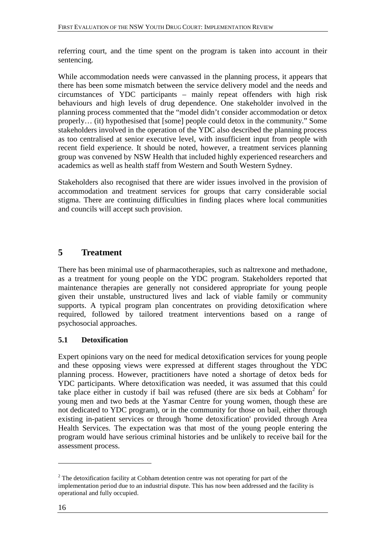referring court, and the time spent on the program is taken into account in their sentencing.

While accommodation needs were canvassed in the planning process, it appears that there has been some mismatch between the service delivery model and the needs and circumstances of YDC participants – mainly repeat offenders with high risk behaviours and high levels of drug dependence. One stakeholder involved in the planning process commented that the "model didn't consider accommodation or detox properly… (it) hypothesised that [some] people could detox in the community." Some stakeholders involved in the operation of the YDC also described the planning process as too centralised at senior executive level, with insufficient input from people with recent field experience. It should be noted, however, a treatment services planning group was convened by NSW Health that included highly experienced researchers and academics as well as health staff from Western and South Western Sydney.

Stakeholders also recognised that there are wider issues involved in the provision of accommodation and treatment services for groups that carry considerable social stigma. There are continuing difficulties in finding places where local communities and councils will accept such provision.

## **5 Treatment**

There has been minimal use of pharmacotherapies, such as naltrexone and methadone, as a treatment for young people on the YDC program. Stakeholders reported that maintenance therapies are generally not considered appropriate for young people given their unstable, unstructured lives and lack of viable family or community supports. A typical program plan concentrates on providing detoxification where required, followed by tailored treatment interventions based on a range of psychosocial approaches.

## **5.1 Detoxification**

Expert opinions vary on the need for medical detoxification services for young people and these opposing views were expressed at different stages throughout the YDC planning process. However, practitioners have noted a shortage of detox beds for YDC participants. Where detoxification was needed, it was assumed that this could take place either in custody if bail was refused (there are six beds at  $\text{Cobham}^2$  for young men and two beds at the Yasmar Centre for young women, though these are not dedicated to YDC program), or in the community for those on bail, either through existing in-patient services or through 'home detoxification' provided through Area Health Services. The expectation was that most of the young people entering the program would have serious criminal histories and be unlikely to receive bail for the assessment process.

 $\overline{a}$ 

 $2<sup>2</sup>$  The detoxification facility at Cobham detention centre was not operating for part of the implementation period due to an industrial dispute. This has now been addressed and the facility is operational and fully occupied.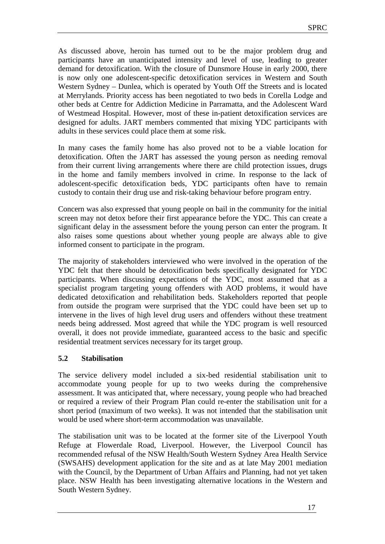As discussed above, heroin has turned out to be the major problem drug and participants have an unanticipated intensity and level of use, leading to greater demand for detoxification. With the closure of Dunsmore House in early 2000, there is now only one adolescent-specific detoxification services in Western and South Western Sydney – Dunlea, which is operated by Youth Off the Streets and is located at Merrylands. Priority access has been negotiated to two beds in Corella Lodge and other beds at Centre for Addiction Medicine in Parramatta, and the Adolescent Ward of Westmead Hospital. However, most of these in-patient detoxification services are designed for adults. JART members commented that mixing YDC participants with adults in these services could place them at some risk.

In many cases the family home has also proved not to be a viable location for detoxification. Often the JART has assessed the young person as needing removal from their current living arrangements where there are child protection issues, drugs in the home and family members involved in crime. In response to the lack of adolescent-specific detoxification beds, YDC participants often have to remain custody to contain their drug use and risk-taking behaviour before program entry.

Concern was also expressed that young people on bail in the community for the initial screen may not detox before their first appearance before the YDC. This can create a significant delay in the assessment before the young person can enter the program. It also raises some questions about whether young people are always able to give informed consent to participate in the program.

The majority of stakeholders interviewed who were involved in the operation of the YDC felt that there should be detoxification beds specifically designated for YDC participants. When discussing expectations of the YDC, most assumed that as a specialist program targeting young offenders with AOD problems, it would have dedicated detoxification and rehabilitation beds. Stakeholders reported that people from outside the program were surprised that the YDC could have been set up to intervene in the lives of high level drug users and offenders without these treatment needs being addressed. Most agreed that while the YDC program is well resourced overall, it does not provide immediate, guaranteed access to the basic and specific residential treatment services necessary for its target group.

## **5.2 Stabilisation**

The service delivery model included a six-bed residential stabilisation unit to accommodate young people for up to two weeks during the comprehensive assessment. It was anticipated that, where necessary, young people who had breached or required a review of their Program Plan could re-enter the stabilisation unit for a short period (maximum of two weeks). It was not intended that the stabilisation unit would be used where short-term accommodation was unavailable.

The stabilisation unit was to be located at the former site of the Liverpool Youth Refuge at Flowerdale Road, Liverpool. However, the Liverpool Council has recommended refusal of the NSW Health/South Western Sydney Area Health Service (SWSAHS) development application for the site and as at late May 2001 mediation with the Council, by the Department of Urban Affairs and Planning, had not yet taken place. NSW Health has been investigating alternative locations in the Western and South Western Sydney.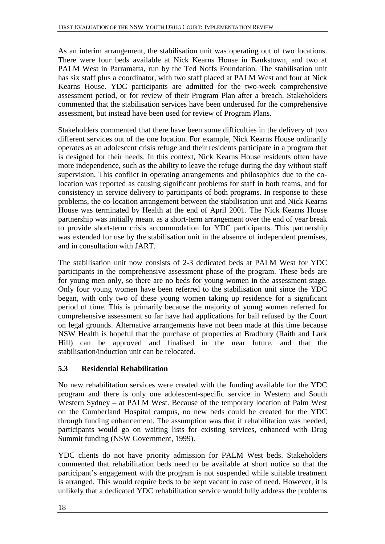As an interim arrangement, the stabilisation unit was operating out of two locations. There were four beds available at Nick Kearns House in Bankstown, and two at PALM West in Parramatta, run by the Ted Noffs Foundation. The stabilisation unit has six staff plus a coordinator, with two staff placed at PALM West and four at Nick Kearns House. YDC participants are admitted for the two-week comprehensive assessment period, or for review of their Program Plan after a breach. Stakeholders commented that the stabilisation services have been underused for the comprehensive assessment, but instead have been used for review of Program Plans.

Stakeholders commented that there have been some difficulties in the delivery of two different services out of the one location. For example, Nick Kearns House ordinarily operates as an adolescent crisis refuge and their residents participate in a program that is designed for their needs. In this context, Nick Kearns House residents often have more independence, such as the ability to leave the refuge during the day without staff supervision. This conflict in operating arrangements and philosophies due to the colocation was reported as causing significant problems for staff in both teams, and for consistency in service delivery to participants of both programs. In response to these problems, the co-location arrangement between the stabilisation unit and Nick Kearns House was terminated by Health at the end of April 2001. The Nick Kearns House partnership was initially meant as a short-term arrangement over the end of year break to provide short-term crisis accommodation for YDC participants. This partnership was extended for use by the stabilisation unit in the absence of independent premises, and in consultation with JART.

The stabilisation unit now consists of 2-3 dedicated beds at PALM West for YDC participants in the comprehensive assessment phase of the program. These beds are for young men only, so there are no beds for young women in the assessment stage. Only four young women have been referred to the stabilisation unit since the YDC began, with only two of these young women taking up residence for a significant period of time. This is primarily because the majority of young women referred for comprehensive assessment so far have had applications for bail refused by the Court on legal grounds. Alternative arrangements have not been made at this time because NSW Health is hopeful that the purchase of properties at Bradbury (Raith and Lark Hill) can be approved and finalised in the near future, and that the stabilisation/induction unit can be relocated.

## **5.3 Residential Rehabilitation**

No new rehabilitation services were created with the funding available for the YDC program and there is only one adolescent-specific service in Western and South Western Sydney – at PALM West. Because of the temporary location of Palm West on the Cumberland Hospital campus, no new beds could be created for the YDC through funding enhancement. The assumption was that if rehabilitation was needed, participants would go on waiting lists for existing services, enhanced with Drug Summit funding (NSW Government, 1999).

YDC clients do not have priority admission for PALM West beds. Stakeholders commented that rehabilitation beds need to be available at short notice so that the participant's engagement with the program is not suspended while suitable treatment is arranged. This would require beds to be kept vacant in case of need. However, it is unlikely that a dedicated YDC rehabilitation service would fully address the problems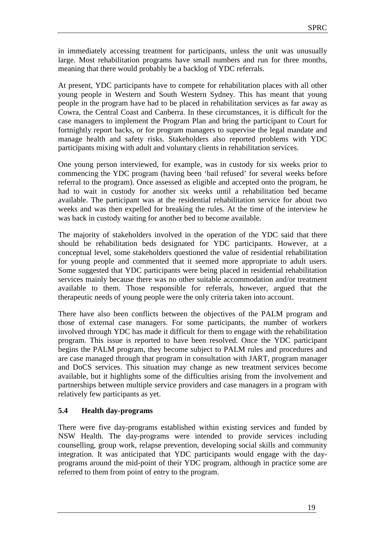in immediately accessing treatment for participants, unless the unit was unusually large. Most rehabilitation programs have small numbers and run for three months, meaning that there would probably be a backlog of YDC referrals.

At present, YDC participants have to compete for rehabilitation places with all other young people in Western and South Western Sydney. This has meant that young people in the program have had to be placed in rehabilitation services as far away as Cowra, the Central Coast and Canberra. In these circumstances, it is difficult for the case managers to implement the Program Plan and bring the participant to Court for fortnightly report backs, or for program managers to supervise the legal mandate and manage health and safety risks. Stakeholders also reported problems with YDC participants mixing with adult and voluntary clients in rehabilitation services.

One young person interviewed, for example, was in custody for six weeks prior to commencing the YDC program (having been 'bail refused' for several weeks before referral to the program). Once assessed as eligible and accepted onto the program, he had to wait in custody for another six weeks until a rehabilitation bed became available. The participant was at the residential rehabilitation service for about two weeks and was then expelled for breaking the rules. At the time of the interview he was back in custody waiting for another bed to become available.

The majority of stakeholders involved in the operation of the YDC said that there should be rehabilitation beds designated for YDC participants. However, at a conceptual level, some stakeholders questioned the value of residential rehabilitation for young people and commented that it seemed more appropriate to adult users. Some suggested that YDC participants were being placed in residential rehabilitation services mainly because there was no other suitable accommodation and/or treatment available to them. Those responsible for referrals, however, argued that the therapeutic needs of young people were the only criteria taken into account.

There have also been conflicts between the objectives of the PALM program and those of external case managers. For some participants, the number of workers involved through YDC has made it difficult for them to engage with the rehabilitation program. This issue is reported to have been resolved. Once the YDC participant begins the PALM program, they become subject to PALM rules and procedures and are case managed through that program in consultation with JART, program manager and DoCS services. This situation may change as new treatment services become available, but it highlights some of the difficulties arising from the involvement and partnerships between multiple service providers and case managers in a program with relatively few participants as yet.

## **5.4 Health day-programs**

There were five day-programs established within existing services and funded by NSW Health. The day-programs were intended to provide services including counselling, group work, relapse prevention, developing social skills and community integration. It was anticipated that YDC participants would engage with the dayprograms around the mid-point of their YDC program, although in practice some are referred to them from point of entry to the program.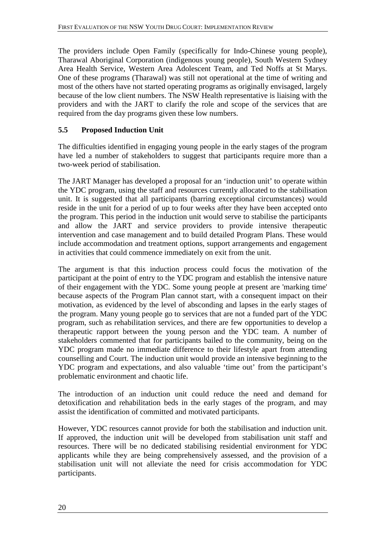The providers include Open Family (specifically for Indo-Chinese young people), Tharawal Aboriginal Corporation (indigenous young people), South Western Sydney Area Health Service, Western Area Adolescent Team, and Ted Noffs at St Marys. One of these programs (Tharawal) was still not operational at the time of writing and most of the others have not started operating programs as originally envisaged, largely because of the low client numbers. The NSW Health representative is liaising with the providers and with the JART to clarify the role and scope of the services that are required from the day programs given these low numbers.

## **5.5 Proposed Induction Unit**

The difficulties identified in engaging young people in the early stages of the program have led a number of stakeholders to suggest that participants require more than a two-week period of stabilisation.

The JART Manager has developed a proposal for an 'induction unit' to operate within the YDC program, using the staff and resources currently allocated to the stabilisation unit. It is suggested that all participants (barring exceptional circumstances) would reside in the unit for a period of up to four weeks after they have been accepted onto the program. This period in the induction unit would serve to stabilise the participants and allow the JART and service providers to provide intensive therapeutic intervention and case management and to build detailed Program Plans. These would include accommodation and treatment options, support arrangements and engagement in activities that could commence immediately on exit from the unit.

The argument is that this induction process could focus the motivation of the participant at the point of entry to the YDC program and establish the intensive nature of their engagement with the YDC. Some young people at present are 'marking time' because aspects of the Program Plan cannot start, with a consequent impact on their motivation, as evidenced by the level of absconding and lapses in the early stages of the program. Many young people go to services that are not a funded part of the YDC program, such as rehabilitation services, and there are few opportunities to develop a therapeutic rapport between the young person and the YDC team. A number of stakeholders commented that for participants bailed to the community, being on the YDC program made no immediate difference to their lifestyle apart from attending counselling and Court. The induction unit would provide an intensive beginning to the YDC program and expectations, and also valuable 'time out' from the participant's problematic environment and chaotic life.

The introduction of an induction unit could reduce the need and demand for detoxification and rehabilitation beds in the early stages of the program, and may assist the identification of committed and motivated participants.

However, YDC resources cannot provide for both the stabilisation and induction unit. If approved, the induction unit will be developed from stabilisation unit staff and resources. There will be no dedicated stabilising residential environment for YDC applicants while they are being comprehensively assessed, and the provision of a stabilisation unit will not alleviate the need for crisis accommodation for YDC participants.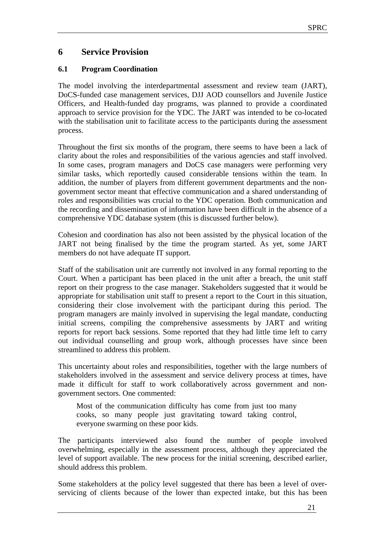## **6 Service Provision**

## **6.1 Program Coordination**

The model involving the interdepartmental assessment and review team (JART), DoCS-funded case management services, DJJ AOD counsellors and Juvenile Justice Officers, and Health-funded day programs, was planned to provide a coordinated approach to service provision for the YDC. The JART was intended to be co-located with the stabilisation unit to facilitate access to the participants during the assessment process.

Throughout the first six months of the program, there seems to have been a lack of clarity about the roles and responsibilities of the various agencies and staff involved. In some cases, program managers and DoCS case managers were performing very similar tasks, which reportedly caused considerable tensions within the team. In addition, the number of players from different government departments and the nongovernment sector meant that effective communication and a shared understanding of roles and responsibilities was crucial to the YDC operation. Both communication and the recording and dissemination of information have been difficult in the absence of a comprehensive YDC database system (this is discussed further below).

Cohesion and coordination has also not been assisted by the physical location of the JART not being finalised by the time the program started. As yet, some JART members do not have adequate IT support.

Staff of the stabilisation unit are currently not involved in any formal reporting to the Court. When a participant has been placed in the unit after a breach, the unit staff report on their progress to the case manager. Stakeholders suggested that it would be appropriate for stabilisation unit staff to present a report to the Court in this situation, considering their close involvement with the participant during this period. The program managers are mainly involved in supervising the legal mandate, conducting initial screens, compiling the comprehensive assessments by JART and writing reports for report back sessions. Some reported that they had little time left to carry out individual counselling and group work, although processes have since been streamlined to address this problem.

This uncertainty about roles and responsibilities, together with the large numbers of stakeholders involved in the assessment and service delivery process at times, have made it difficult for staff to work collaboratively across government and nongovernment sectors. One commented:

Most of the communication difficulty has come from just too many cooks, so many people just gravitating toward taking control, everyone swarming on these poor kids.

The participants interviewed also found the number of people involved overwhelming, especially in the assessment process, although they appreciated the level of support available. The new process for the initial screening, described earlier, should address this problem.

Some stakeholders at the policy level suggested that there has been a level of overservicing of clients because of the lower than expected intake, but this has been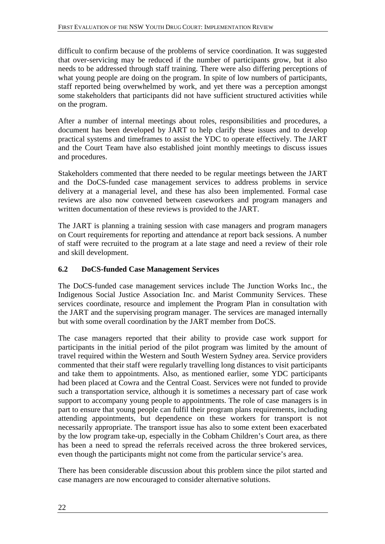difficult to confirm because of the problems of service coordination. It was suggested that over-servicing may be reduced if the number of participants grow, but it also needs to be addressed through staff training. There were also differing perceptions of what young people are doing on the program. In spite of low numbers of participants, staff reported being overwhelmed by work, and yet there was a perception amongst some stakeholders that participants did not have sufficient structured activities while on the program.

After a number of internal meetings about roles, responsibilities and procedures, a document has been developed by JART to help clarify these issues and to develop practical systems and timeframes to assist the YDC to operate effectively. The JART and the Court Team have also established joint monthly meetings to discuss issues and procedures.

Stakeholders commented that there needed to be regular meetings between the JART and the DoCS-funded case management services to address problems in service delivery at a managerial level, and these has also been implemented. Formal case reviews are also now convened between caseworkers and program managers and written documentation of these reviews is provided to the JART.

The JART is planning a training session with case managers and program managers on Court requirements for reporting and attendance at report back sessions. A number of staff were recruited to the program at a late stage and need a review of their role and skill development.

## **6.2 DoCS-funded Case Management Services**

The DoCS-funded case management services include The Junction Works Inc., the Indigenous Social Justice Association Inc. and Marist Community Services. These services coordinate, resource and implement the Program Plan in consultation with the JART and the supervising program manager. The services are managed internally but with some overall coordination by the JART member from DoCS.

The case managers reported that their ability to provide case work support for participants in the initial period of the pilot program was limited by the amount of travel required within the Western and South Western Sydney area. Service providers commented that their staff were regularly travelling long distances to visit participants and take them to appointments. Also, as mentioned earlier, some YDC participants had been placed at Cowra and the Central Coast. Services were not funded to provide such a transportation service, although it is sometimes a necessary part of case work support to accompany young people to appointments. The role of case managers is in part to ensure that young people can fulfil their program plans requirements, including attending appointments, but dependence on these workers for transport is not necessarily appropriate. The transport issue has also to some extent been exacerbated by the low program take-up, especially in the Cobham Children's Court area, as there has been a need to spread the referrals received across the three brokered services, even though the participants might not come from the particular service's area.

There has been considerable discussion about this problem since the pilot started and case managers are now encouraged to consider alternative solutions.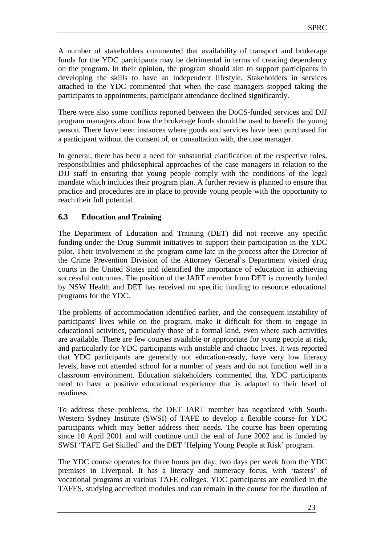A number of stakeholders commented that availability of transport and brokerage funds for the YDC participants may be detrimental in terms of creating dependency on the program. In their opinion, the program should aim to support participants in developing the skills to have an independent lifestyle. Stakeholders in services attached to the YDC commented that when the case managers stopped taking the participants to appointments, participant attendance declined significantly.

There were also some conflicts reported between the DoCS-funded services and DJJ program managers about how the brokerage funds should be used to benefit the young person. There have been instances where goods and services have been purchased for a participant without the consent of, or consultation with, the case manager.

In general, there has been a need for substantial clarification of the respective roles, responsibilities and philosophical approaches of the case managers in relation to the DJJ staff in ensuring that young people comply with the conditions of the legal mandate which includes their program plan. A further review is planned to ensure that practice and procedures are in place to provide young people with the opportunity to reach their full potential.

## **6.3 Education and Training**

The Department of Education and Training (DET) did not receive any specific funding under the Drug Summit initiatives to support their participation in the YDC pilot. Their involvement in the program came late in the process after the Director of the Crime Prevention Division of the Attorney General's Department visited drug courts in the United States and identified the importance of education in achieving successful outcomes. The position of the JART member from DET is currently funded by NSW Health and DET has received no specific funding to resource educational programs for the YDC.

The problems of accommodation identified earlier, and the consequent instability of participants' lives while on the program, make it difficult for them to engage in educational activities, particularly those of a formal kind, even where such activities are available. There are few courses available or appropriate for young people at risk, and particularly for YDC participants with unstable and chaotic lives. It was reported that YDC participants are generally not education-ready, have very low literacy levels, have not attended school for a number of years and do not function well in a classroom environment. Education stakeholders commented that YDC participants need to have a positive educational experience that is adapted to their level of readiness.

To address these problems, the DET JART member has negotiated with South-Western Sydney Institute (SWSI) of TAFE to develop a flexible course for YDC participants which may better address their needs. The course has been operating since 10 April 2001 and will continue until the end of June 2002 and is funded by SWSI 'TAFE Get Skilled' and the DET 'Helping Young People at Risk' program.

The YDC course operates for three hours per day, two days per week from the YDC premises in Liverpool. It has a literacy and numeracy focus, with 'tasters' of vocational programs at various TAFE colleges. YDC participants are enrolled in the TAFES, studying accredited modules and can remain in the course for the duration of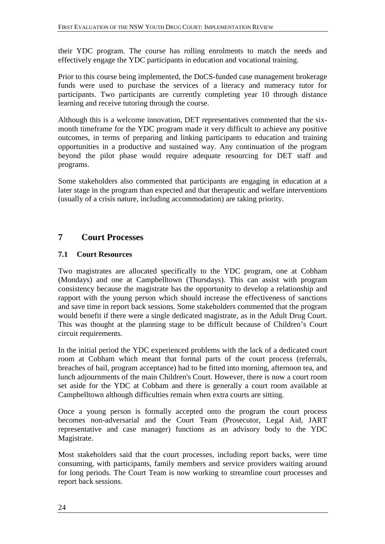their YDC program. The course has rolling enrolments to match the needs and effectively engage the YDC participants in education and vocational training.

Prior to this course being implemented, the DoCS-funded case management brokerage funds were used to purchase the services of a literacy and numeracy tutor for participants. Two participants are currently completing year 10 through distance learning and receive tutoring through the course.

Although this is a welcome innovation, DET representatives commented that the sixmonth timeframe for the YDC program made it very difficult to achieve any positive outcomes, in terms of preparing and linking participants to education and training opportunities in a productive and sustained way. Any continuation of the program beyond the pilot phase would require adequate resourcing for DET staff and programs.

Some stakeholders also commented that participants are engaging in education at a later stage in the program than expected and that therapeutic and welfare interventions (usually of a crisis nature, including accommodation) are taking priority.

## **7 Court Processes**

## **7.1 Court Resources**

Two magistrates are allocated specifically to the YDC program, one at Cobham (Mondays) and one at Campbelltown (Thursdays). This can assist with program consistency because the magistrate has the opportunity to develop a relationship and rapport with the young person which should increase the effectiveness of sanctions and save time in report back sessions. Some stakeholders commented that the program would benefit if there were a single dedicated magistrate, as in the Adult Drug Court. This was thought at the planning stage to be difficult because of Children's Court circuit requirements.

In the initial period the YDC experienced problems with the lack of a dedicated court room at Cobham which meant that formal parts of the court process (referrals, breaches of bail, program acceptance) had to be fitted into morning, afternoon tea, and lunch adjournments of the main Children's Court. However, there is now a court room set aside for the YDC at Cobham and there is generally a court room available at Campbelltown although difficulties remain when extra courts are sitting.

Once a young person is formally accepted onto the program the court process becomes non-adversarial and the Court Team (Prosecutor, Legal Aid, JART representative and case manager) functions as an advisory body to the YDC Magistrate.

Most stakeholders said that the court processes, including report backs, were time consuming, with participants, family members and service providers waiting around for long periods. The Court Team is now working to streamline court processes and report back sessions.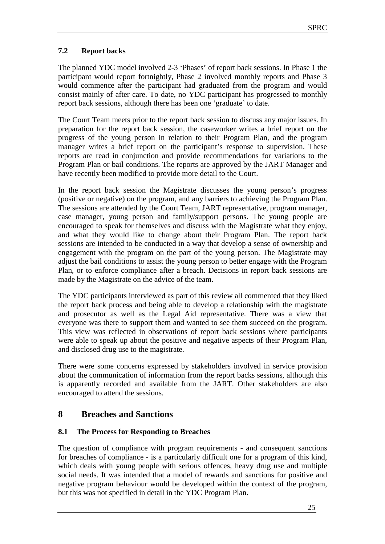## **7.2 Report backs**

The planned YDC model involved 2-3 'Phases' of report back sessions. In Phase 1 the participant would report fortnightly, Phase 2 involved monthly reports and Phase 3 would commence after the participant had graduated from the program and would consist mainly of after care. To date, no YDC participant has progressed to monthly report back sessions, although there has been one 'graduate' to date.

The Court Team meets prior to the report back session to discuss any major issues. In preparation for the report back session, the caseworker writes a brief report on the progress of the young person in relation to their Program Plan, and the program manager writes a brief report on the participant's response to supervision. These reports are read in conjunction and provide recommendations for variations to the Program Plan or bail conditions. The reports are approved by the JART Manager and have recently been modified to provide more detail to the Court.

In the report back session the Magistrate discusses the young person's progress (positive or negative) on the program, and any barriers to achieving the Program Plan. The sessions are attended by the Court Team, JART representative, program manager, case manager, young person and family/support persons. The young people are encouraged to speak for themselves and discuss with the Magistrate what they enjoy, and what they would like to change about their Program Plan. The report back sessions are intended to be conducted in a way that develop a sense of ownership and engagement with the program on the part of the young person. The Magistrate may adjust the bail conditions to assist the young person to better engage with the Program Plan, or to enforce compliance after a breach. Decisions in report back sessions are made by the Magistrate on the advice of the team.

The YDC participants interviewed as part of this review all commented that they liked the report back process and being able to develop a relationship with the magistrate and prosecutor as well as the Legal Aid representative. There was a view that everyone was there to support them and wanted to see them succeed on the program. This view was reflected in observations of report back sessions where participants were able to speak up about the positive and negative aspects of their Program Plan, and disclosed drug use to the magistrate.

There were some concerns expressed by stakeholders involved in service provision about the communication of information from the report backs sessions, although this is apparently recorded and available from the JART. Other stakeholders are also encouraged to attend the sessions.

## **8 Breaches and Sanctions**

## **8.1 The Process for Responding to Breaches**

The question of compliance with program requirements - and consequent sanctions for breaches of compliance - is a particularly difficult one for a program of this kind, which deals with young people with serious offences, heavy drug use and multiple social needs. It was intended that a model of rewards and sanctions for positive and negative program behaviour would be developed within the context of the program, but this was not specified in detail in the YDC Program Plan.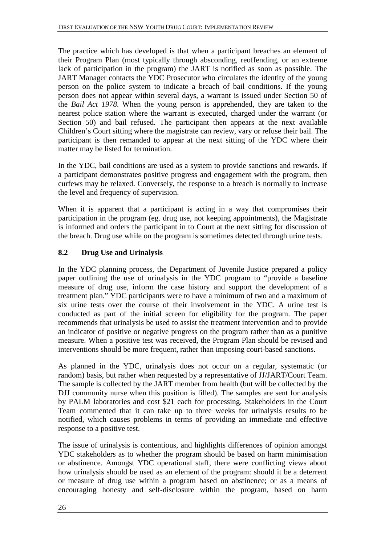The practice which has developed is that when a participant breaches an element of their Program Plan (most typically through absconding, reoffending, or an extreme lack of participation in the program) the JART is notified as soon as possible. The JART Manager contacts the YDC Prosecutor who circulates the identity of the young person on the police system to indicate a breach of bail conditions. If the young person does not appear within several days, a warrant is issued under Section 50 of the *Bail Act 1978*. When the young person is apprehended, they are taken to the nearest police station where the warrant is executed, charged under the warrant (or Section 50) and bail refused. The participant then appears at the next available Children's Court sitting where the magistrate can review, vary or refuse their bail. The participant is then remanded to appear at the next sitting of the YDC where their matter may be listed for termination.

In the YDC, bail conditions are used as a system to provide sanctions and rewards. If a participant demonstrates positive progress and engagement with the program, then curfews may be relaxed. Conversely, the response to a breach is normally to increase the level and frequency of supervision.

When it is apparent that a participant is acting in a way that compromises their participation in the program (eg. drug use, not keeping appointments), the Magistrate is informed and orders the participant in to Court at the next sitting for discussion of the breach. Drug use while on the program is sometimes detected through urine tests.

## **8.2 Drug Use and Urinalysis**

In the YDC planning process, the Department of Juvenile Justice prepared a policy paper outlining the use of urinalysis in the YDC program to "provide a baseline measure of drug use, inform the case history and support the development of a treatment plan." YDC participants were to have a minimum of two and a maximum of six urine tests over the course of their involvement in the YDC. A urine test is conducted as part of the initial screen for eligibility for the program. The paper recommends that urinalysis be used to assist the treatment intervention and to provide an indicator of positive or negative progress on the program rather than as a punitive measure. When a positive test was received, the Program Plan should be revised and interventions should be more frequent, rather than imposing court-based sanctions.

As planned in the YDC, urinalysis does not occur on a regular, systematic (or random) basis, but rather when requested by a representative of JJ/JART/Court Team. The sample is collected by the JART member from health (but will be collected by the DJJ community nurse when this position is filled). The samples are sent for analysis by PALM laboratories and cost \$21 each for processing. Stakeholders in the Court Team commented that it can take up to three weeks for urinalysis results to be notified, which causes problems in terms of providing an immediate and effective response to a positive test.

The issue of urinalysis is contentious, and highlights differences of opinion amongst YDC stakeholders as to whether the program should be based on harm minimisation or abstinence. Amongst YDC operational staff, there were conflicting views about how urinalysis should be used as an element of the program: should it be a deterrent or measure of drug use within a program based on abstinence; or as a means of encouraging honesty and self-disclosure within the program, based on harm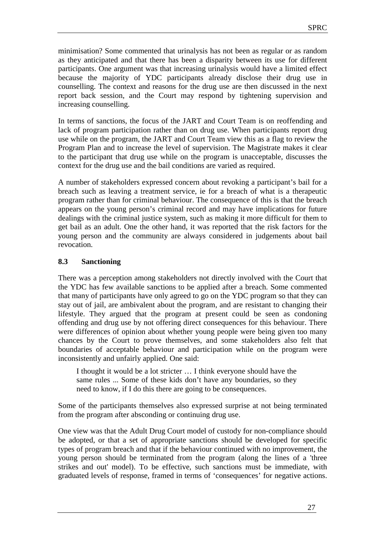minimisation? Some commented that urinalysis has not been as regular or as random as they anticipated and that there has been a disparity between its use for different participants. One argument was that increasing urinalysis would have a limited effect because the majority of YDC participants already disclose their drug use in counselling. The context and reasons for the drug use are then discussed in the next report back session, and the Court may respond by tightening supervision and increasing counselling.

In terms of sanctions, the focus of the JART and Court Team is on reoffending and lack of program participation rather than on drug use. When participants report drug use while on the program, the JART and Court Team view this as a flag to review the Program Plan and to increase the level of supervision. The Magistrate makes it clear to the participant that drug use while on the program is unacceptable, discusses the context for the drug use and the bail conditions are varied as required.

A number of stakeholders expressed concern about revoking a participant's bail for a breach such as leaving a treatment service, ie for a breach of what is a therapeutic program rather than for criminal behaviour. The consequence of this is that the breach appears on the young person's criminal record and may have implications for future dealings with the criminal justice system, such as making it more difficult for them to get bail as an adult. One the other hand, it was reported that the risk factors for the young person and the community are always considered in judgements about bail revocation.

## **8.3 Sanctioning**

There was a perception among stakeholders not directly involved with the Court that the YDC has few available sanctions to be applied after a breach. Some commented that many of participants have only agreed to go on the YDC program so that they can stay out of jail, are ambivalent about the program, and are resistant to changing their lifestyle. They argued that the program at present could be seen as condoning offending and drug use by not offering direct consequences for this behaviour. There were differences of opinion about whether young people were being given too many chances by the Court to prove themselves, and some stakeholders also felt that boundaries of acceptable behaviour and participation while on the program were inconsistently and unfairly applied. One said:

I thought it would be a lot stricter … I think everyone should have the same rules ... Some of these kids don't have any boundaries, so they need to know, if I do this there are going to be consequences.

Some of the participants themselves also expressed surprise at not being terminated from the program after absconding or continuing drug use.

One view was that the Adult Drug Court model of custody for non-compliance should be adopted, or that a set of appropriate sanctions should be developed for specific types of program breach and that if the behaviour continued with no improvement, the young person should be terminated from the program (along the lines of a 'three strikes and out' model). To be effective, such sanctions must be immediate, with graduated levels of response, framed in terms of 'consequences' for negative actions.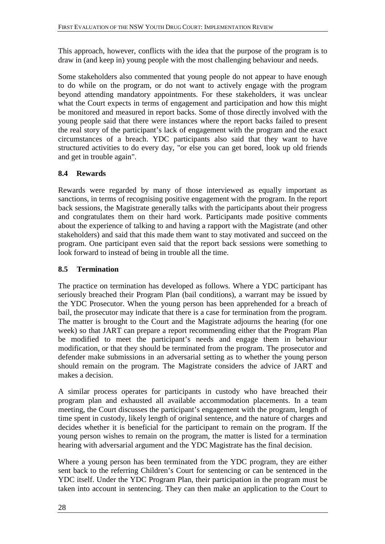This approach, however, conflicts with the idea that the purpose of the program is to draw in (and keep in) young people with the most challenging behaviour and needs.

Some stakeholders also commented that young people do not appear to have enough to do while on the program, or do not want to actively engage with the program beyond attending mandatory appointments. For these stakeholders, it was unclear what the Court expects in terms of engagement and participation and how this might be monitored and measured in report backs. Some of those directly involved with the young people said that there were instances where the report backs failed to present the real story of the participant's lack of engagement with the program and the exact circumstances of a breach. YDC participants also said that they want to have structured activities to do every day, "or else you can get bored, look up old friends and get in trouble again".

## **8.4 Rewards**

Rewards were regarded by many of those interviewed as equally important as sanctions, in terms of recognising positive engagement with the program. In the report back sessions, the Magistrate generally talks with the participants about their progress and congratulates them on their hard work. Participants made positive comments about the experience of talking to and having a rapport with the Magistrate (and other stakeholders) and said that this made them want to stay motivated and succeed on the program. One participant even said that the report back sessions were something to look forward to instead of being in trouble all the time.

## **8.5 Termination**

The practice on termination has developed as follows. Where a YDC participant has seriously breached their Program Plan (bail conditions), a warrant may be issued by the YDC Prosecutor. When the young person has been apprehended for a breach of bail, the prosecutor may indicate that there is a case for termination from the program. The matter is brought to the Court and the Magistrate adjourns the hearing (for one week) so that JART can prepare a report recommending either that the Program Plan be modified to meet the participant's needs and engage them in behaviour modification, or that they should be terminated from the program. The prosecutor and defender make submissions in an adversarial setting as to whether the young person should remain on the program. The Magistrate considers the advice of JART and makes a decision.

A similar process operates for participants in custody who have breached their program plan and exhausted all available accommodation placements. In a team meeting, the Court discusses the participant's engagement with the program, length of time spent in custody, likely length of original sentence, and the nature of charges and decides whether it is beneficial for the participant to remain on the program. If the young person wishes to remain on the program, the matter is listed for a termination hearing with adversarial argument and the YDC Magistrate has the final decision.

Where a young person has been terminated from the YDC program, they are either sent back to the referring Children's Court for sentencing or can be sentenced in the YDC itself. Under the YDC Program Plan, their participation in the program must be taken into account in sentencing. They can then make an application to the Court to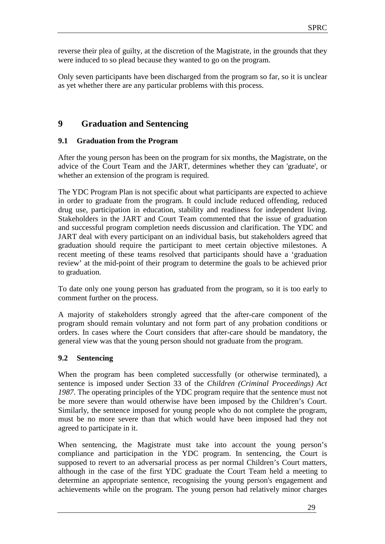reverse their plea of guilty, at the discretion of the Magistrate, in the grounds that they were induced to so plead because they wanted to go on the program.

Only seven participants have been discharged from the program so far, so it is unclear as yet whether there are any particular problems with this process.

## **9 Graduation and Sentencing**

## **9.1 Graduation from the Program**

After the young person has been on the program for six months, the Magistrate, on the advice of the Court Team and the JART, determines whether they can 'graduate', or whether an extension of the program is required.

The YDC Program Plan is not specific about what participants are expected to achieve in order to graduate from the program. It could include reduced offending, reduced drug use, participation in education, stability and readiness for independent living. Stakeholders in the JART and Court Team commented that the issue of graduation and successful program completion needs discussion and clarification. The YDC and JART deal with every participant on an individual basis, but stakeholders agreed that graduation should require the participant to meet certain objective milestones. A recent meeting of these teams resolved that participants should have a 'graduation review' at the mid-point of their program to determine the goals to be achieved prior to graduation.

To date only one young person has graduated from the program, so it is too early to comment further on the process.

A majority of stakeholders strongly agreed that the after-care component of the program should remain voluntary and not form part of any probation conditions or orders. In cases where the Court considers that after-care should be mandatory, the general view was that the young person should not graduate from the program.

## **9.2 Sentencing**

When the program has been completed successfully (or otherwise terminated), a sentence is imposed under Section 33 of the *Children (Criminal Proceedings) Act 1987*. The operating principles of the YDC program require that the sentence must not be more severe than would otherwise have been imposed by the Children's Court. Similarly, the sentence imposed for young people who do not complete the program, must be no more severe than that which would have been imposed had they not agreed to participate in it.

When sentencing, the Magistrate must take into account the young person's compliance and participation in the YDC program. In sentencing, the Court is supposed to revert to an adversarial process as per normal Children's Court matters, although in the case of the first YDC graduate the Court Team held a meeting to determine an appropriate sentence, recognising the young person's engagement and achievements while on the program. The young person had relatively minor charges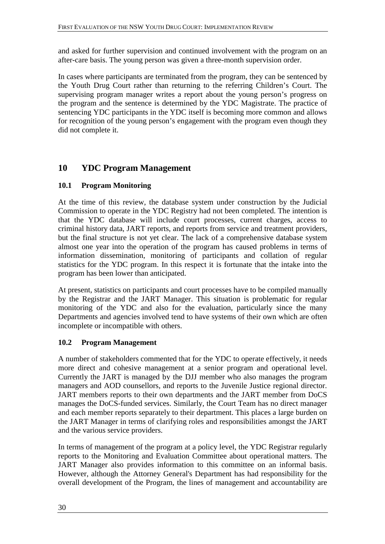and asked for further supervision and continued involvement with the program on an after-care basis. The young person was given a three-month supervision order.

In cases where participants are terminated from the program, they can be sentenced by the Youth Drug Court rather than returning to the referring Children's Court. The supervising program manager writes a report about the young person's progress on the program and the sentence is determined by the YDC Magistrate. The practice of sentencing YDC participants in the YDC itself is becoming more common and allows for recognition of the young person's engagement with the program even though they did not complete it.

## **10 YDC Program Management**

## **10.1 Program Monitoring**

At the time of this review, the database system under construction by the Judicial Commission to operate in the YDC Registry had not been completed. The intention is that the YDC database will include court processes, current charges, access to criminal history data, JART reports, and reports from service and treatment providers, but the final structure is not yet clear. The lack of a comprehensive database system almost one year into the operation of the program has caused problems in terms of information dissemination, monitoring of participants and collation of regular statistics for the YDC program. In this respect it is fortunate that the intake into the program has been lower than anticipated.

At present, statistics on participants and court processes have to be compiled manually by the Registrar and the JART Manager. This situation is problematic for regular monitoring of the YDC and also for the evaluation, particularly since the many Departments and agencies involved tend to have systems of their own which are often incomplete or incompatible with others.

## **10.2 Program Management**

A number of stakeholders commented that for the YDC to operate effectively, it needs more direct and cohesive management at a senior program and operational level. Currently the JART is managed by the DJJ member who also manages the program managers and AOD counsellors, and reports to the Juvenile Justice regional director. JART members reports to their own departments and the JART member from DoCS manages the DoCS-funded services. Similarly, the Court Team has no direct manager and each member reports separately to their department. This places a large burden on the JART Manager in terms of clarifying roles and responsibilities amongst the JART and the various service providers.

In terms of management of the program at a policy level, the YDC Registrar regularly reports to the Monitoring and Evaluation Committee about operational matters. The JART Manager also provides information to this committee on an informal basis. However, although the Attorney General's Department has had responsibility for the overall development of the Program, the lines of management and accountability are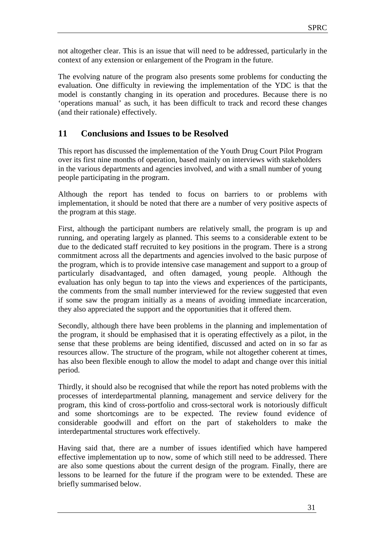not altogether clear. This is an issue that will need to be addressed, particularly in the context of any extension or enlargement of the Program in the future.

The evolving nature of the program also presents some problems for conducting the evaluation. One difficulty in reviewing the implementation of the YDC is that the model is constantly changing in its operation and procedures. Because there is no 'operations manual' as such, it has been difficult to track and record these changes (and their rationale) effectively.

## **11 Conclusions and Issues to be Resolved**

This report has discussed the implementation of the Youth Drug Court Pilot Program over its first nine months of operation, based mainly on interviews with stakeholders in the various departments and agencies involved, and with a small number of young people participating in the program.

Although the report has tended to focus on barriers to or problems with implementation, it should be noted that there are a number of very positive aspects of the program at this stage.

First, although the participant numbers are relatively small, the program is up and running, and operating largely as planned. This seems to a considerable extent to be due to the dedicated staff recruited to key positions in the program. There is a strong commitment across all the departments and agencies involved to the basic purpose of the program, which is to provide intensive case management and support to a group of particularly disadvantaged, and often damaged, young people. Although the evaluation has only begun to tap into the views and experiences of the participants, the comments from the small number interviewed for the review suggested that even if some saw the program initially as a means of avoiding immediate incarceration, they also appreciated the support and the opportunities that it offered them.

Secondly, although there have been problems in the planning and implementation of the program, it should be emphasised that it is operating effectively as a pilot, in the sense that these problems are being identified, discussed and acted on in so far as resources allow. The structure of the program, while not altogether coherent at times, has also been flexible enough to allow the model to adapt and change over this initial period.

Thirdly, it should also be recognised that while the report has noted problems with the processes of interdepartmental planning, management and service delivery for the program, this kind of cross-portfolio and cross-sectoral work is notoriously difficult and some shortcomings are to be expected. The review found evidence of considerable goodwill and effort on the part of stakeholders to make the interdepartmental structures work effectively.

Having said that, there are a number of issues identified which have hampered effective implementation up to now, some of which still need to be addressed. There are also some questions about the current design of the program. Finally, there are lessons to be learned for the future if the program were to be extended. These are briefly summarised below.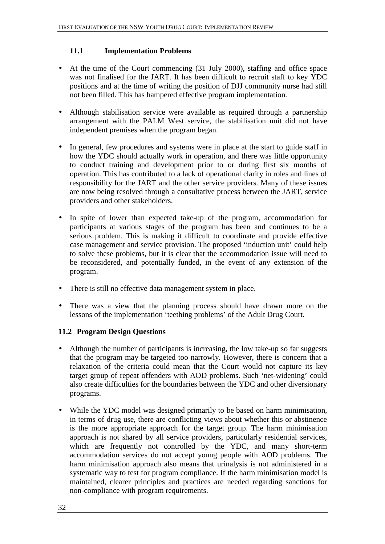## **11.1 Implementation Problems**

- At the time of the Court commencing (31 July 2000), staffing and office space was not finalised for the JART. It has been difficult to recruit staff to key YDC positions and at the time of writing the position of DJJ community nurse had still not been filled. This has hampered effective program implementation.
- Although stabilisation service were available as required through a partnership arrangement with the PALM West service, the stabilisation unit did not have independent premises when the program began.
- In general, few procedures and systems were in place at the start to guide staff in how the YDC should actually work in operation, and there was little opportunity to conduct training and development prior to or during first six months of operation. This has contributed to a lack of operational clarity in roles and lines of responsibility for the JART and the other service providers. Many of these issues are now being resolved through a consultative process between the JART, service providers and other stakeholders.
- In spite of lower than expected take-up of the program, accommodation for participants at various stages of the program has been and continues to be a serious problem. This is making it difficult to coordinate and provide effective case management and service provision. The proposed 'induction unit' could help to solve these problems, but it is clear that the accommodation issue will need to be reconsidered, and potentially funded, in the event of any extension of the program.
- There is still no effective data management system in place.
- There was a view that the planning process should have drawn more on the lessons of the implementation 'teething problems' of the Adult Drug Court.

## **11.2 Program Design Questions**

- Although the number of participants is increasing, the low take-up so far suggests that the program may be targeted too narrowly. However, there is concern that a relaxation of the criteria could mean that the Court would not capture its key target group of repeat offenders with AOD problems. Such 'net-widening' could also create difficulties for the boundaries between the YDC and other diversionary programs.
- While the YDC model was designed primarily to be based on harm minimisation, in terms of drug use, there are conflicting views about whether this or abstinence is the more appropriate approach for the target group. The harm minimisation approach is not shared by all service providers, particularly residential services, which are frequently not controlled by the YDC, and many short-term accommodation services do not accept young people with AOD problems. The harm minimisation approach also means that urinalysis is not administered in a systematic way to test for program compliance. If the harm minimisation model is maintained, clearer principles and practices are needed regarding sanctions for non-compliance with program requirements.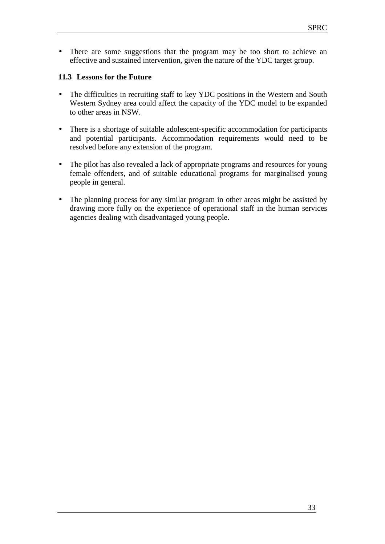• There are some suggestions that the program may be too short to achieve an effective and sustained intervention, given the nature of the YDC target group.

## **11.3 Lessons for the Future**

- The difficulties in recruiting staff to key YDC positions in the Western and South Western Sydney area could affect the capacity of the YDC model to be expanded to other areas in NSW.
- There is a shortage of suitable adolescent-specific accommodation for participants and potential participants. Accommodation requirements would need to be resolved before any extension of the program.
- The pilot has also revealed a lack of appropriate programs and resources for young female offenders, and of suitable educational programs for marginalised young people in general.
- The planning process for any similar program in other areas might be assisted by drawing more fully on the experience of operational staff in the human services agencies dealing with disadvantaged young people.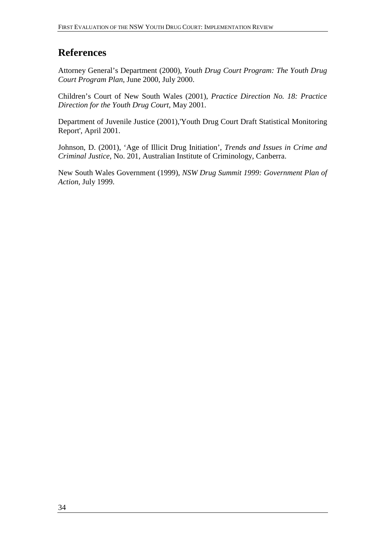## **References**

Attorney General's Department (2000), *Youth Drug Court Program: The Youth Drug Court Program Plan*, June 2000, July 2000.

Children's Court of New South Wales (2001), *Practice Direction No. 18: Practice Direction for the Youth Drug Court*, May 2001.

Department of Juvenile Justice (2001),'Youth Drug Court Draft Statistical Monitoring Report', April 2001.

Johnson, D. (2001), 'Age of Illicit Drug Initiation', *Trends and Issues in Crime and Criminal Justice*, No. 201, Australian Institute of Criminology, Canberra.

New South Wales Government (1999), *NSW Drug Summit 1999: Government Plan of Action*, July 1999.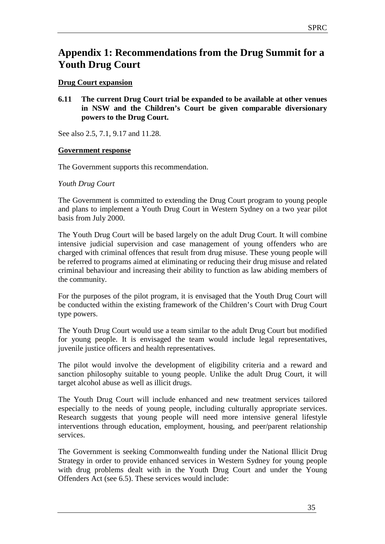## **Appendix 1: Recommendations from the Drug Summit for a Youth Drug Court**

## **Drug Court expansion**

**6.11 The current Drug Court trial be expanded to be available at other venues in NSW and the Children's Court be given comparable diversionary powers to the Drug Court.** 

See also 2.5, 7.1, 9.17 and 11.28.

#### **Government response**

The Government supports this recommendation.

#### *Youth Drug Court*

The Government is committed to extending the Drug Court program to young people and plans to implement a Youth Drug Court in Western Sydney on a two year pilot basis from July 2000.

The Youth Drug Court will be based largely on the adult Drug Court. It will combine intensive judicial supervision and case management of young offenders who are charged with criminal offences that result from drug misuse. These young people will be referred to programs aimed at eliminating or reducing their drug misuse and related criminal behaviour and increasing their ability to function as law abiding members of the community.

For the purposes of the pilot program, it is envisaged that the Youth Drug Court will be conducted within the existing framework of the Children's Court with Drug Court type powers.

The Youth Drug Court would use a team similar to the adult Drug Court but modified for young people. It is envisaged the team would include legal representatives, juvenile justice officers and health representatives.

The pilot would involve the development of eligibility criteria and a reward and sanction philosophy suitable to young people. Unlike the adult Drug Court, it will target alcohol abuse as well as illicit drugs.

The Youth Drug Court will include enhanced and new treatment services tailored especially to the needs of young people, including culturally appropriate services. Research suggests that young people will need more intensive general lifestyle interventions through education, employment, housing, and peer/parent relationship services.

The Government is seeking Commonwealth funding under the National Illicit Drug Strategy in order to provide enhanced services in Western Sydney for young people with drug problems dealt with in the Youth Drug Court and under the Young Offenders Act (see 6.5). These services would include: